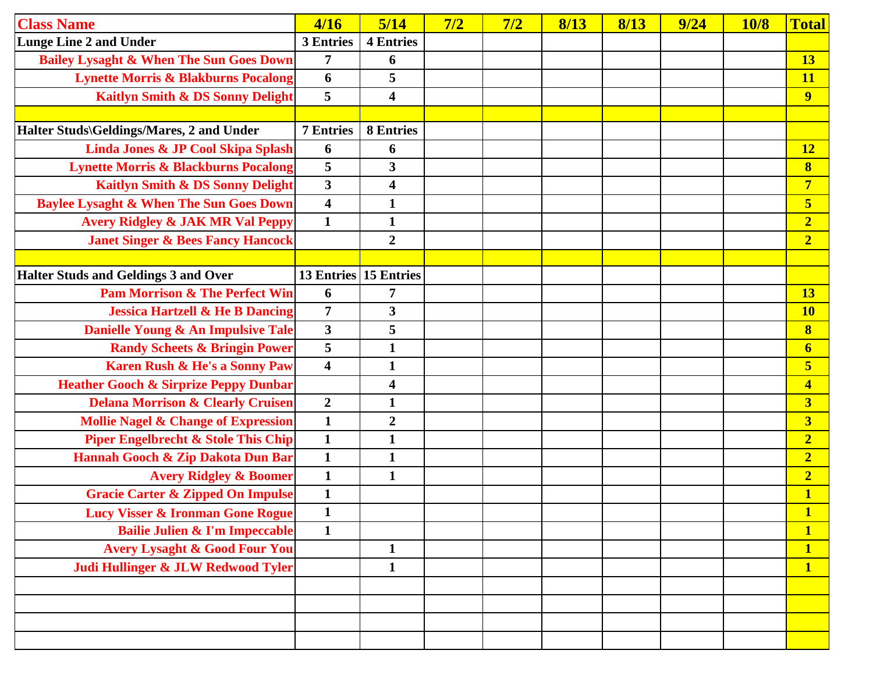| <b>Class Name</b>                                  | 4/16                    | 5/14                    | 7/2 | 7/2 | 8/13 | 8/13 | 9/24 | <b>10/8</b> | <b>Total</b>            |
|----------------------------------------------------|-------------------------|-------------------------|-----|-----|------|------|------|-------------|-------------------------|
| <b>Lunge Line 2 and Under</b>                      | 3 Entries               | <b>4 Entries</b>        |     |     |      |      |      |             |                         |
| <b>Bailey Lysaght &amp; When The Sun Goes Down</b> | 7                       | 6                       |     |     |      |      |      |             | <b>13</b>               |
| <b>Lynette Morris &amp; Blakburns Pocalong</b>     | 6                       | 5                       |     |     |      |      |      |             | <b>11</b>               |
| <b>Kaitlyn Smith &amp; DS Sonny Delight</b>        | 5                       | $\overline{\mathbf{4}}$ |     |     |      |      |      |             | $\overline{9}$          |
|                                                    |                         |                         |     |     |      |      |      |             |                         |
| Halter Studs\Geldings/Mares, 2 and Under           | <b>7 Entries</b>        | <b>8 Entries</b>        |     |     |      |      |      |             |                         |
| Linda Jones & JP Cool Skipa Splash                 | 6                       | 6                       |     |     |      |      |      |             | <b>12</b>               |
| <b>Lynette Morris &amp; Blackburns Pocalong</b>    | 5                       | 3                       |     |     |      |      |      |             | $\bf{8}$                |
| <b>Kaitlyn Smith &amp; DS Sonny Delight</b>        | $\overline{\mathbf{3}}$ | 4                       |     |     |      |      |      |             | $\overline{7}$          |
| <b>Baylee Lysaght &amp; When The Sun Goes Down</b> | $\overline{\mathbf{4}}$ | $\mathbf{1}$            |     |     |      |      |      |             | 5                       |
| <b>Avery Ridgley &amp; JAK MR Val Peppy</b>        | $\mathbf{1}$            | $\mathbf{1}$            |     |     |      |      |      |             | $\overline{\mathbf{2}}$ |
| <b>Janet Singer &amp; Bees Fancy Hancock</b>       |                         | $\overline{2}$          |     |     |      |      |      |             | $\overline{2}$          |
|                                                    |                         |                         |     |     |      |      |      |             |                         |
| <b>Halter Studs and Geldings 3 and Over</b>        |                         | 13 Entries 15 Entries   |     |     |      |      |      |             |                         |
| <b>Pam Morrison &amp; The Perfect Win</b>          | 6                       | 7                       |     |     |      |      |      |             | <b>13</b>               |
| <b>Jessica Hartzell &amp; He B Dancing</b>         | $\overline{7}$          | $\overline{\mathbf{3}}$ |     |     |      |      |      |             | <b>10</b>               |
| Danielle Young & An Impulsive Tale                 | $\mathbf{3}$            | 5                       |     |     |      |      |      |             | $\bf{8}$                |
| <b>Randy Scheets &amp; Bringin Power</b>           | 5                       | $\mathbf{1}$            |     |     |      |      |      |             | $\overline{\mathbf{6}}$ |
| Karen Rush & He's a Sonny Paw                      | $\overline{\mathbf{4}}$ | $\mathbf{1}$            |     |     |      |      |      |             | 5                       |
| <b>Heather Gooch &amp; Sirprize Peppy Dunbar</b>   |                         | $\overline{\mathbf{4}}$ |     |     |      |      |      |             | $\overline{\mathbf{4}}$ |
| <b>Delana Morrison &amp; Clearly Cruisen</b>       | $\boldsymbol{2}$        | $\mathbf{1}$            |     |     |      |      |      |             | $\overline{\mathbf{3}}$ |
| <b>Mollie Nagel &amp; Change of Expression</b>     | $\mathbf{1}$            | $\boldsymbol{2}$        |     |     |      |      |      |             | $\overline{\mathbf{3}}$ |
| <b>Piper Engelbrecht &amp; Stole This Chip</b>     | $\mathbf{1}$            | $\mathbf{1}$            |     |     |      |      |      |             | $\overline{2}$          |
| Hannah Gooch & Zip Dakota Dun Bar                  | $\mathbf{1}$            | $\mathbf{1}$            |     |     |      |      |      |             | $\overline{2}$          |
| <b>Avery Ridgley &amp; Boomer</b>                  | $\mathbf{1}$            | $\mathbf{1}$            |     |     |      |      |      |             | $\overline{2}$          |
| <b>Gracie Carter &amp; Zipped On Impulse</b>       | $\mathbf{1}$            |                         |     |     |      |      |      |             | $\mathbf{1}$            |
| <b>Lucy Visser &amp; Ironman Gone Rogue</b>        | 1                       |                         |     |     |      |      |      |             |                         |
| <b>Bailie Julien &amp; I'm Impeccable</b>          | $\mathbf{1}$            |                         |     |     |      |      |      |             | $\overline{\mathbf{1}}$ |
| <b>Avery Lysaght &amp; Good Four You</b>           |                         | $\mathbf{1}$            |     |     |      |      |      |             | $\mathbf{1}$            |
| Judi Hullinger & JLW Redwood Tyler                 |                         | $\mathbf{1}$            |     |     |      |      |      |             | $\mathbf{1}$            |
|                                                    |                         |                         |     |     |      |      |      |             |                         |
|                                                    |                         |                         |     |     |      |      |      |             |                         |
|                                                    |                         |                         |     |     |      |      |      |             |                         |
|                                                    |                         |                         |     |     |      |      |      |             |                         |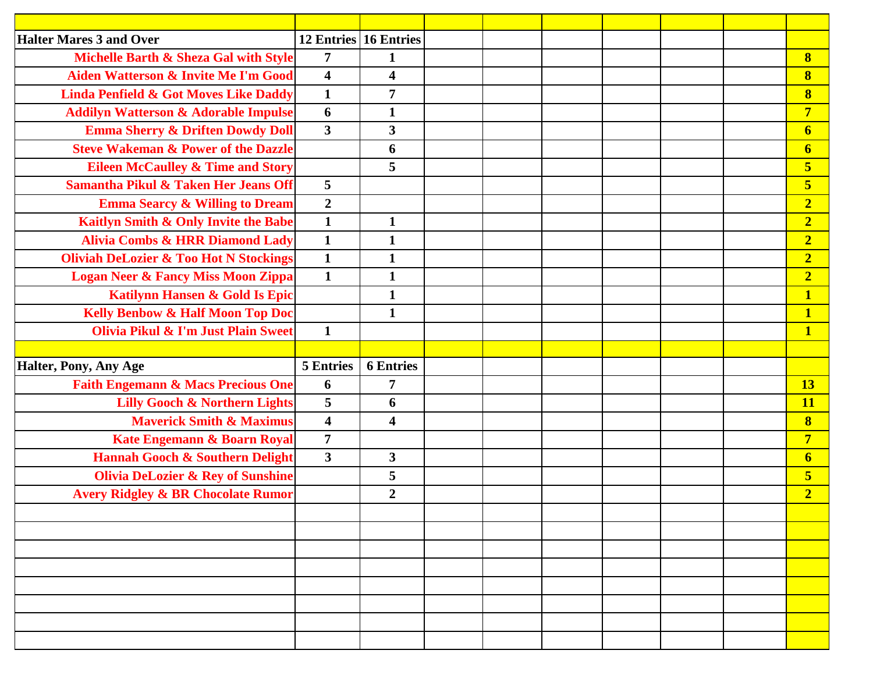| <b>Halter Mares 3 and Over</b>                    |                         | 12 Entries 16 Entries   |  |  |  |                         |
|---------------------------------------------------|-------------------------|-------------------------|--|--|--|-------------------------|
| Michelle Barth & Sheza Gal with Style             | $\overline{7}$          | $\mathbf{1}$            |  |  |  | 8                       |
| Aiden Watterson & Invite Me I'm Good              | $\overline{\mathbf{4}}$ | $\overline{\mathbf{4}}$ |  |  |  | $\bf{8}$                |
| <b>Linda Penfield &amp; Got Moves Like Daddy</b>  | $\mathbf{1}$            | $\overline{7}$          |  |  |  | $\bf{8}$                |
| <b>Addilyn Watterson &amp; Adorable Impulse</b>   | 6                       | $\mathbf{1}$            |  |  |  | $\overline{7}$          |
| <b>Emma Sherry &amp; Driften Dowdy Doll</b>       | $\overline{\mathbf{3}}$ | $\mathbf{3}$            |  |  |  | $\boldsymbol{6}$        |
| <b>Steve Wakeman &amp; Power of the Dazzle</b>    |                         | 6                       |  |  |  | $\boldsymbol{6}$        |
| <b>Eileen McCaulley &amp; Time and Story</b>      |                         | 5                       |  |  |  | $\overline{\mathbf{5}}$ |
| Samantha Pikul & Taken Her Jeans Off              | 5                       |                         |  |  |  | $\overline{\mathbf{5}}$ |
| <b>Emma Searcy &amp; Willing to Dream</b>         | $\overline{2}$          |                         |  |  |  | $\overline{2}$          |
| Kaitlyn Smith & Only Invite the Babe              | $\mathbf{1}$            | $\mathbf{1}$            |  |  |  | $\overline{2}$          |
| <b>Alivia Combs &amp; HRR Diamond Lady</b>        | $\mathbf{1}$            | $\mathbf{1}$            |  |  |  | $\overline{2}$          |
| <b>Oliviah DeLozier &amp; Too Hot N Stockings</b> | $\mathbf{1}$            | $\mathbf{1}$            |  |  |  | $\overline{2}$          |
| <b>Logan Neer &amp; Fancy Miss Moon Zippa</b>     | $\mathbf{1}$            | $\mathbf{1}$            |  |  |  | $\overline{2}$          |
| Katilynn Hansen & Gold Is Epic                    |                         | $\mathbf{1}$            |  |  |  | $\mathbf{1}$            |
| <b>Kelly Benbow &amp; Half Moon Top Doc</b>       |                         | $\mathbf{1}$            |  |  |  | $\mathbf{1}$            |
| Olivia Pikul & I'm Just Plain Sweet               | $\mathbf{1}$            |                         |  |  |  | $\overline{\mathbf{1}}$ |
|                                                   |                         |                         |  |  |  |                         |
| Halter, Pony, Any Age                             | <b>5 Entries</b>        | <b>6</b> Entries        |  |  |  |                         |
| <b>Faith Engemann &amp; Macs Precious One</b>     | 6                       | 7                       |  |  |  | 13                      |
| <b>Lilly Gooch &amp; Northern Lights</b>          | 5                       | 6                       |  |  |  | 11                      |
| <b>Maverick Smith &amp; Maximus</b>               | $\overline{\mathbf{4}}$ | $\overline{\mathbf{4}}$ |  |  |  | $\overline{\mathbf{8}}$ |
| Kate Engemann & Boarn Royal                       | $\overline{7}$          |                         |  |  |  | $\overline{7}$          |
| <b>Hannah Gooch &amp; Southern Delight</b>        | $\mathbf{3}$            | $\mathbf{3}$            |  |  |  | $\boldsymbol{6}$        |
| <b>Olivia DeLozier &amp; Rey of Sunshine</b>      |                         | 5                       |  |  |  | $\overline{\mathbf{5}}$ |
| <b>Avery Ridgley &amp; BR Chocolate Rumor</b>     |                         | $\overline{2}$          |  |  |  | $\overline{2}$          |
|                                                   |                         |                         |  |  |  |                         |
|                                                   |                         |                         |  |  |  |                         |
|                                                   |                         |                         |  |  |  |                         |
|                                                   |                         |                         |  |  |  |                         |
|                                                   |                         |                         |  |  |  |                         |
|                                                   |                         |                         |  |  |  |                         |
|                                                   |                         |                         |  |  |  |                         |
|                                                   |                         |                         |  |  |  |                         |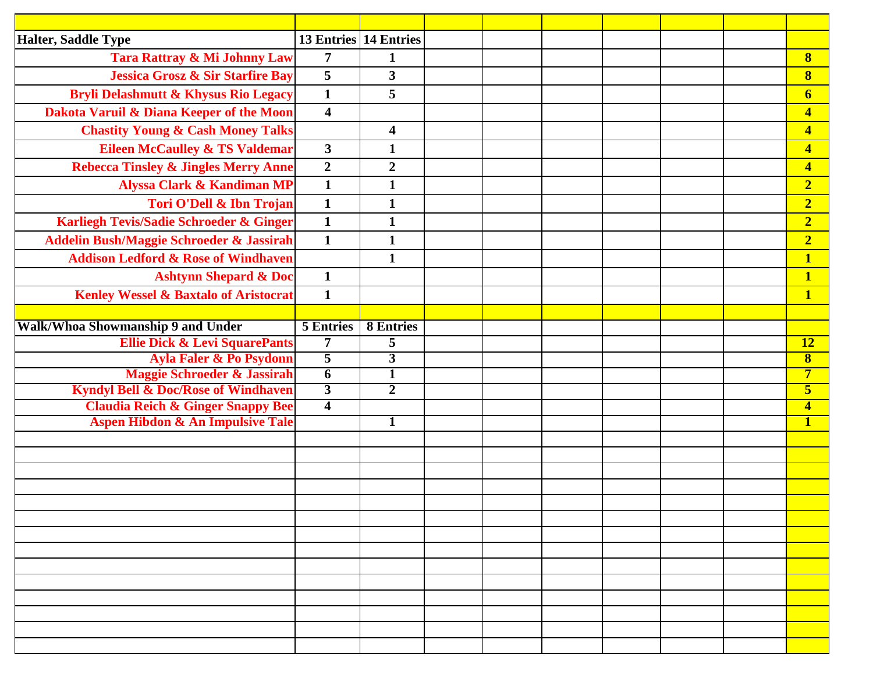| <b>Halter, Saddle Type</b>                      |                         | 13 Entries 14 Entries   |  |  |  |                         |
|-------------------------------------------------|-------------------------|-------------------------|--|--|--|-------------------------|
| Tara Rattray & Mi Johnny Law                    | $\overline{7}$          | $\mathbf{1}$            |  |  |  | $\bf{8}$                |
| <b>Jessica Grosz &amp; Sir Starfire Bay</b>     | 5                       | $\mathbf{3}$            |  |  |  | $\bf{8}$                |
| <b>Bryli Delashmutt &amp; Khysus Rio Legacy</b> | $\mathbf{1}$            | 5                       |  |  |  | $\boldsymbol{6}$        |
| Dakota Varuil & Diana Keeper of the Moon        | $\overline{\mathbf{4}}$ |                         |  |  |  | $\overline{\mathbf{4}}$ |
| <b>Chastity Young &amp; Cash Money Talks</b>    |                         | $\overline{\mathbf{4}}$ |  |  |  | $\overline{\mathbf{4}}$ |
| <b>Eileen McCaulley &amp; TS Valdemar</b>       | $\overline{\mathbf{3}}$ | $\mathbf{1}$            |  |  |  | $\overline{\mathbf{4}}$ |
| <b>Rebecca Tinsley &amp; Jingles Merry Anne</b> | $\overline{2}$          | $\boldsymbol{2}$        |  |  |  | $\overline{\mathbf{4}}$ |
| <b>Alyssa Clark &amp; Kandiman MP</b>           | $\mathbf{1}$            | $\mathbf{1}$            |  |  |  | $\overline{2}$          |
| Tori O'Dell & Ibn Trojan                        | $\mathbf{1}$            | $\mathbf{1}$            |  |  |  | $\overline{2}$          |
| Karliegh Tevis/Sadie Schroeder & Ginger         | $\mathbf{1}$            | $\mathbf{1}$            |  |  |  | $\overline{2}$          |
| Addelin Bush/Maggie Schroeder & Jassirah        | $\mathbf{1}$            | $\mathbf{1}$            |  |  |  | $\overline{2}$          |
| <b>Addison Ledford &amp; Rose of Windhaven</b>  |                         | $\mathbf{1}$            |  |  |  | $\overline{\mathbf{1}}$ |
| <b>Ashtynn Shepard &amp; Doc</b>                | $\mathbf{1}$            |                         |  |  |  | $\overline{\mathbf{1}}$ |
| Kenley Wessel & Baxtalo of Aristocrat           | $\mathbf{1}$            |                         |  |  |  | $\mathbf{1}$            |
|                                                 |                         |                         |  |  |  |                         |
| Walk/Whoa Showmanship 9 and Under               | <b>5 Entries</b>        | <b>8 Entries</b>        |  |  |  |                         |
| <b>Ellie Dick &amp; Levi SquarePants</b>        | $\overline{7}$          | 5                       |  |  |  | $\overline{12}$         |
| <b>Ayla Faler &amp; Po Psydonn</b>              | $\overline{5}$          | $\overline{\mathbf{3}}$ |  |  |  | $\overline{\mathbf{8}}$ |
| Maggie Schroeder & Jassirah                     | $\overline{6}$          | $\mathbf{1}$            |  |  |  | $\overline{7}$          |
| <b>Kyndyl Bell &amp; Doc/Rose of Windhaven</b>  | $\overline{3}$          | $\overline{2}$          |  |  |  | $\overline{\mathbf{5}}$ |
| <b>Claudia Reich &amp; Ginger Snappy Bee</b>    | $\overline{4}$          |                         |  |  |  | $\overline{\mathbf{4}}$ |
| <b>Aspen Hibdon &amp; An Impulsive Tale</b>     |                         | $\mathbf{1}$            |  |  |  | $\mathbf{1}$            |
|                                                 |                         |                         |  |  |  |                         |
|                                                 |                         |                         |  |  |  |                         |
|                                                 |                         |                         |  |  |  |                         |
|                                                 |                         |                         |  |  |  |                         |
|                                                 |                         |                         |  |  |  |                         |
|                                                 |                         |                         |  |  |  |                         |
|                                                 |                         |                         |  |  |  |                         |
|                                                 |                         |                         |  |  |  |                         |
|                                                 |                         |                         |  |  |  |                         |
|                                                 |                         |                         |  |  |  |                         |
|                                                 |                         |                         |  |  |  |                         |
|                                                 |                         |                         |  |  |  |                         |
|                                                 |                         |                         |  |  |  |                         |
|                                                 |                         |                         |  |  |  |                         |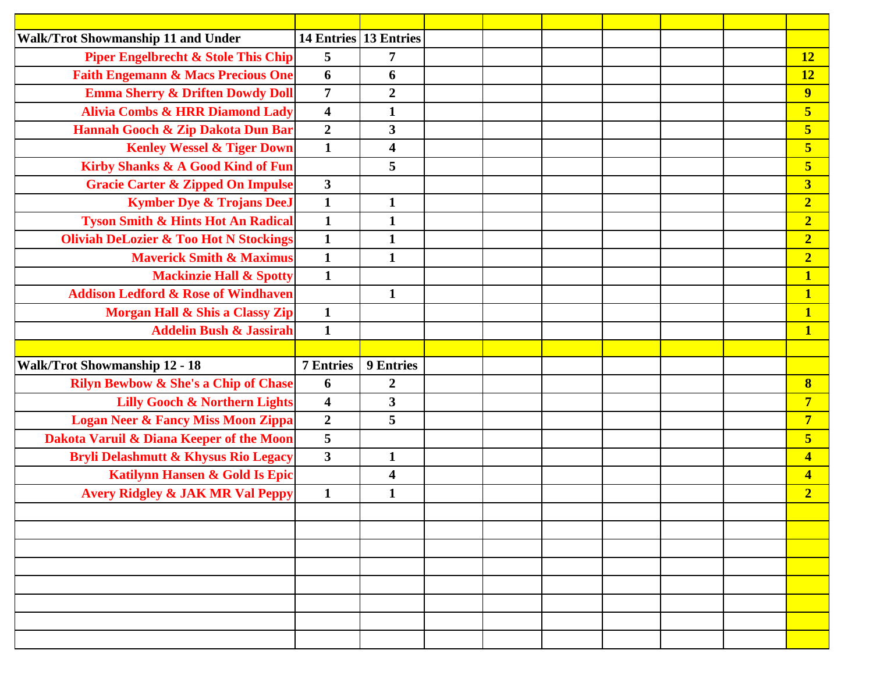| <b>Walk/Trot Showmanship 11 and Under</b>         | 14 Entries 13 Entries   |                         |  |  |  |                         |
|---------------------------------------------------|-------------------------|-------------------------|--|--|--|-------------------------|
| <b>Piper Engelbrecht &amp; Stole This Chip</b>    | 5                       | $\overline{7}$          |  |  |  | <b>12</b>               |
| <b>Faith Engemann &amp; Macs Precious One</b>     | 6                       | 6                       |  |  |  | 12                      |
| <b>Emma Sherry &amp; Driften Dowdy Doll</b>       | $\overline{7}$          | $\boldsymbol{2}$        |  |  |  | $\overline{9}$          |
| <b>Alivia Combs &amp; HRR Diamond Lady</b>        | $\overline{\mathbf{4}}$ | $\mathbf{1}$            |  |  |  | $\overline{\mathbf{5}}$ |
| Hannah Gooch & Zip Dakota Dun Bar                 | $\overline{2}$          | $\mathbf{3}$            |  |  |  | $\overline{\mathbf{5}}$ |
| <b>Kenley Wessel &amp; Tiger Down</b>             | $\mathbf{1}$            | $\overline{\mathbf{4}}$ |  |  |  | $\overline{\mathbf{5}}$ |
| Kirby Shanks & A Good Kind of Fun                 |                         | 5                       |  |  |  | $\overline{\mathbf{5}}$ |
| <b>Gracie Carter &amp; Zipped On Impulse</b>      | $\mathbf{3}$            |                         |  |  |  | $\overline{\mathbf{3}}$ |
| <b>Kymber Dye &amp; Trojans DeeJ</b>              | $\mathbf{1}$            | $\mathbf{1}$            |  |  |  | $\overline{2}$          |
| <b>Tyson Smith &amp; Hints Hot An Radical</b>     | $\mathbf{1}$            | $\mathbf{1}$            |  |  |  | $\overline{2}$          |
| <b>Oliviah DeLozier &amp; Too Hot N Stockings</b> | $\mathbf{1}$            | $\mathbf{1}$            |  |  |  | $\overline{2}$          |
| <b>Maverick Smith &amp; Maximus</b>               | $\mathbf{1}$            | $\mathbf{1}$            |  |  |  | $\overline{2}$          |
| <b>Mackinzie Hall &amp; Spotty</b>                | $\mathbf{1}$            |                         |  |  |  | $\overline{\mathbf{1}}$ |
| <b>Addison Ledford &amp; Rose of Windhaven</b>    |                         | $\mathbf{1}$            |  |  |  | $\mathbf{1}$            |
| Morgan Hall & Shis a Classy Zip                   | $\mathbf{1}$            |                         |  |  |  | $\overline{\mathbf{1}}$ |
| <b>Addelin Bush &amp; Jassirah</b>                | $\mathbf{1}$            |                         |  |  |  | $\overline{\mathbf{1}}$ |
|                                                   |                         |                         |  |  |  |                         |
| <b>Walk/Trot Showmanship 12 - 18</b>              | <b>7 Entries</b>        | <b>9 Entries</b>        |  |  |  |                         |
| <b>Rilyn Bewbow &amp; She's a Chip of Chase</b>   | 6                       | $\boldsymbol{2}$        |  |  |  | $\bf{8}$                |
| <b>Lilly Gooch &amp; Northern Lights</b>          | $\overline{\mathbf{4}}$ | $\mathbf{3}$            |  |  |  | $\overline{7}$          |
| <b>Logan Neer &amp; Fancy Miss Moon Zippa</b>     | $\overline{2}$          | 5                       |  |  |  | $\overline{7}$          |
| Dakota Varuil & Diana Keeper of the Moon          | 5                       |                         |  |  |  | $\overline{\mathbf{5}}$ |
| <b>Bryli Delashmutt &amp; Khysus Rio Legacy</b>   | $\mathbf{3}$            | $\mathbf{1}$            |  |  |  | $\overline{\mathbf{4}}$ |
| Katilynn Hansen & Gold Is Epic                    |                         | $\overline{\mathbf{4}}$ |  |  |  | $\overline{\mathbf{4}}$ |
| <b>Avery Ridgley &amp; JAK MR Val Peppy</b>       | $\mathbf{1}$            | $\mathbf{1}$            |  |  |  | $\overline{2}$          |
|                                                   |                         |                         |  |  |  |                         |
|                                                   |                         |                         |  |  |  |                         |
|                                                   |                         |                         |  |  |  |                         |
|                                                   |                         |                         |  |  |  |                         |
|                                                   |                         |                         |  |  |  |                         |
|                                                   |                         |                         |  |  |  |                         |
|                                                   |                         |                         |  |  |  |                         |
|                                                   |                         |                         |  |  |  |                         |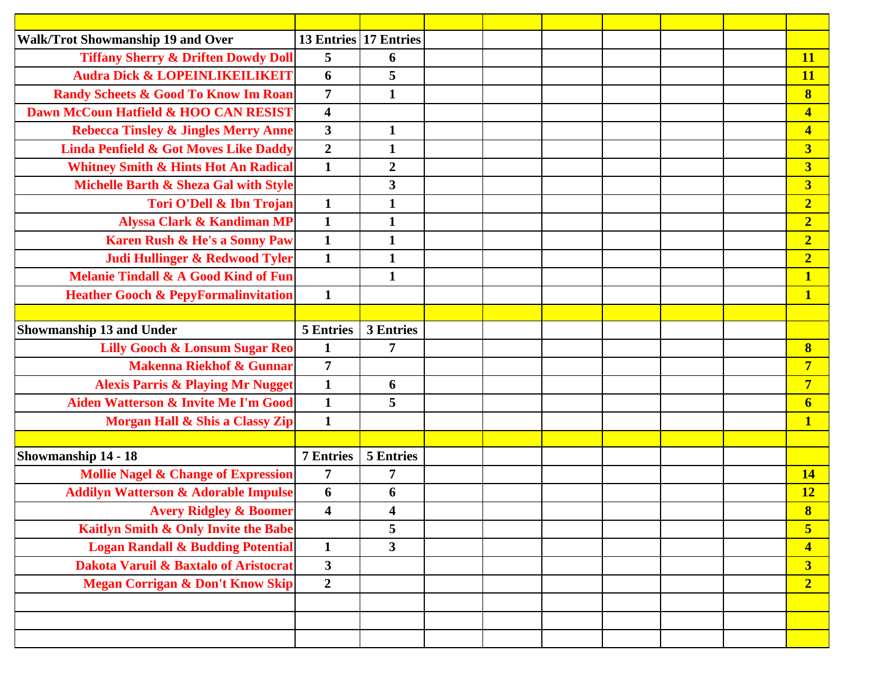| <b>Walk/Trot Showmanship 19 and Over</b>         | <b>13 Entries</b>       | <b>17 Entries</b> |  |  |  |                         |
|--------------------------------------------------|-------------------------|-------------------|--|--|--|-------------------------|
| <b>Tiffany Sherry &amp; Driften Dowdy Doll</b>   | 5                       | 6                 |  |  |  | <b>11</b>               |
| <b>Audra Dick &amp; LOPEINLIKEILIKEIT</b>        | 6                       | 5                 |  |  |  | <b>11</b>               |
| <b>Randy Scheets &amp; Good To Know Im Roan</b>  | $\overline{7}$          | $\mathbf{1}$      |  |  |  | $\bf{8}$                |
| Dawn McCoun Hatfield & HOO CAN RESIST            | $\overline{\mathbf{4}}$ |                   |  |  |  | $\overline{\mathbf{4}}$ |
| <b>Rebecca Tinsley &amp; Jingles Merry Anne</b>  | $\overline{\mathbf{3}}$ | $\mathbf{1}$      |  |  |  | $\overline{\mathbf{4}}$ |
| <b>Linda Penfield &amp; Got Moves Like Daddy</b> | $\overline{2}$          | $\mathbf{1}$      |  |  |  | $\overline{\mathbf{3}}$ |
| <b>Whitney Smith &amp; Hints Hot An Radical</b>  | $\mathbf{1}$            | $\boldsymbol{2}$  |  |  |  | $\overline{\mathbf{3}}$ |
| Michelle Barth & Sheza Gal with Style            |                         | $\mathbf{3}$      |  |  |  | $\overline{\mathbf{3}}$ |
| <b>Tori O'Dell &amp; Ibn Trojan</b>              | $\mathbf{1}$            | $\mathbf{1}$      |  |  |  | $\overline{2}$          |
| <b>Alyssa Clark &amp; Kandiman MP</b>            | $\mathbf{1}$            | $\mathbf{1}$      |  |  |  | $\overline{2}$          |
| <b>Karen Rush &amp; He's a Sonny Paw</b>         | $\mathbf{1}$            | $\mathbf{1}$      |  |  |  | $\overline{2}$          |
| Judi Hullinger & Redwood Tyler                   | $\mathbf{1}$            | $\mathbf{1}$      |  |  |  | $\overline{2}$          |
| <b>Melanie Tindall &amp; A Good Kind of Fun</b>  |                         | $\mathbf{1}$      |  |  |  | $\mathbf{1}$            |
| <b>Heather Gooch &amp; PepyFormalinvitation</b>  | $\mathbf{1}$            |                   |  |  |  | $\mathbf{1}$            |
|                                                  |                         |                   |  |  |  |                         |
| <b>Showmanship 13 and Under</b>                  | <b>5 Entries</b>        | <b>3 Entries</b>  |  |  |  |                         |
| <b>Lilly Gooch &amp; Lonsum Sugar Reo</b>        | $\mathbf{1}$            | $\overline{7}$    |  |  |  | $\bf{8}$                |
| <b>Makenna Riekhof &amp; Gunnar</b>              | $\overline{7}$          |                   |  |  |  | $\overline{7}$          |
| <b>Alexis Parris &amp; Playing Mr Nugget</b>     | $\mathbf{1}$            | 6                 |  |  |  | $\overline{7}$          |
| <b>Aiden Watterson &amp; Invite Me I'm Good</b>  | $\mathbf{1}$            | 5                 |  |  |  | 6                       |
| Morgan Hall & Shis a Classy Zip                  | $\mathbf{1}$            |                   |  |  |  | $\mathbf{1}$            |
|                                                  |                         |                   |  |  |  |                         |
| Showmanship 14 - 18                              | <b>7 Entries</b>        | 5 Entries         |  |  |  |                         |
| <b>Mollie Nagel &amp; Change of Expression</b>   | 7                       | 7                 |  |  |  | <b>14</b>               |
| <b>Addilyn Watterson &amp; Adorable Impulse</b>  | 6                       | 6                 |  |  |  | <u>12</u>               |
| <b>Avery Ridgley &amp; Boomer</b>                | 4                       | 4                 |  |  |  | $\overline{\mathbf{8}}$ |
| Kaitlyn Smith & Only Invite the Babe             |                         | 5                 |  |  |  | $\overline{\mathbf{5}}$ |
| <b>Logan Randall &amp; Budding Potential</b>     | $\mathbf{1}$            | $\mathbf{3}$      |  |  |  | $\overline{\mathbf{4}}$ |
| <b>Dakota Varuil &amp; Baxtalo of Aristocrat</b> | $\overline{\mathbf{3}}$ |                   |  |  |  | $\overline{\mathbf{3}}$ |
| <b>Megan Corrigan &amp; Don't Know Skip</b>      | $\overline{2}$          |                   |  |  |  | $\overline{2}$          |
|                                                  |                         |                   |  |  |  |                         |
|                                                  |                         |                   |  |  |  |                         |
|                                                  |                         |                   |  |  |  |                         |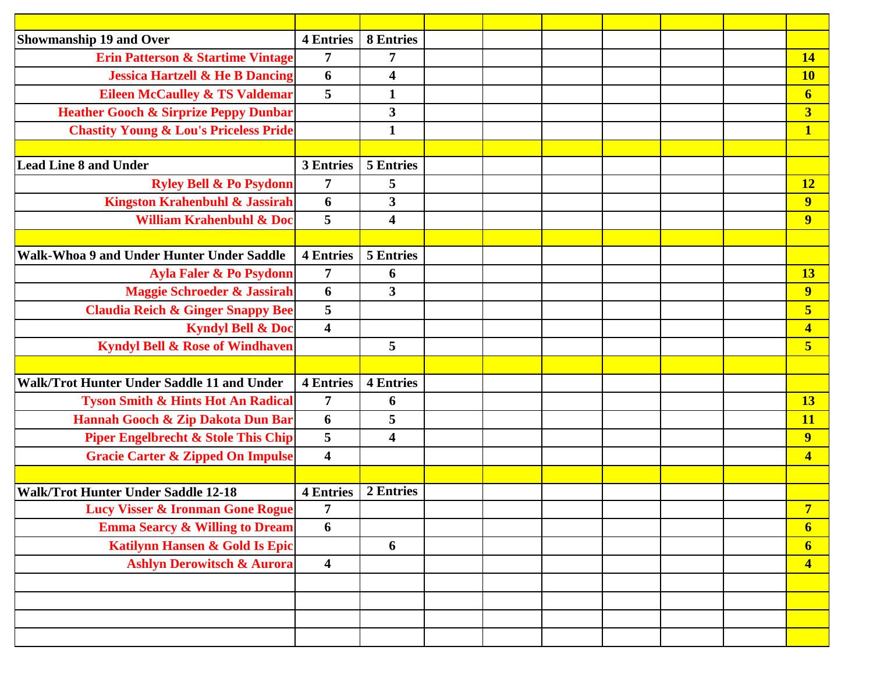| <b>Showmanship 19 and Over</b>                    | <b>4 Entries</b>        | <b>8 Entries</b>        |  |  |  |                         |
|---------------------------------------------------|-------------------------|-------------------------|--|--|--|-------------------------|
| <b>Erin Patterson &amp; Startime Vintage</b>      | $\overline{7}$          | $\overline{7}$          |  |  |  | <b>14</b>               |
| <b>Jessica Hartzell &amp; He B Dancing</b>        | 6                       | 4                       |  |  |  | <b>10</b>               |
| <b>Eileen McCaulley &amp; TS Valdemar</b>         | $5\overline{)}$         | $\mathbf{1}$            |  |  |  | $\boldsymbol{6}$        |
| <b>Heather Gooch &amp; Sirprize Peppy Dunbar</b>  |                         | 3                       |  |  |  | $\overline{\mathbf{3}}$ |
| <b>Chastity Young &amp; Lou's Priceless Pride</b> |                         | $\mathbf{1}$            |  |  |  | $\mathbf{1}$            |
|                                                   |                         |                         |  |  |  |                         |
| <b>Lead Line 8 and Under</b>                      | 3 Entries               | 5 Entries               |  |  |  |                         |
| <b>Ryley Bell &amp; Po Psydonn</b>                | $\overline{7}$          | 5                       |  |  |  | <b>12</b>               |
| <b>Kingston Krahenbuhl &amp; Jassirah</b>         | 6                       | $\overline{\mathbf{3}}$ |  |  |  | $\overline{\mathbf{9}}$ |
| <b>William Krahenbuhl &amp; Doc</b>               | 5                       | $\overline{\mathbf{4}}$ |  |  |  | 9                       |
|                                                   |                         |                         |  |  |  |                         |
| Walk-Whoa 9 and Under Hunter Under Saddle         | <b>4 Entries</b>        | 5 Entries               |  |  |  |                         |
| Ayla Faler & Po Psydonn                           | $\overline{7}$          | 6                       |  |  |  | <b>13</b>               |
| <b>Maggie Schroeder &amp; Jassirah</b>            | 6                       | $\mathbf{3}$            |  |  |  | $\overline{9}$          |
| <b>Claudia Reich &amp; Ginger Snappy Bee</b>      | 5                       |                         |  |  |  | 5                       |
| <b>Kyndyl Bell &amp; Doc</b>                      | $\overline{\mathbf{4}}$ |                         |  |  |  | $\overline{\mathbf{4}}$ |
| <b>Kyndyl Bell &amp; Rose of Windhaven</b>        |                         | 5                       |  |  |  | $\overline{\mathbf{5}}$ |
|                                                   |                         |                         |  |  |  |                         |
| Walk/Trot Hunter Under Saddle 11 and Under        | <b>4 Entries</b>        | <b>4 Entries</b>        |  |  |  |                         |
| <b>Tyson Smith &amp; Hints Hot An Radical</b>     | $\overline{7}$          | 6                       |  |  |  | <b>13</b>               |
| Hannah Gooch & Zip Dakota Dun Bar                 | 6                       | 5                       |  |  |  | <b>11</b>               |
| <b>Piper Engelbrecht &amp; Stole This Chip</b>    | 5                       | $\overline{\mathbf{4}}$ |  |  |  | $\overline{\mathbf{9}}$ |
| <b>Gracie Carter &amp; Zipped On Impulse</b>      | $\overline{\mathbf{4}}$ |                         |  |  |  | $\overline{\mathbf{4}}$ |
|                                                   |                         |                         |  |  |  |                         |
| <b>Walk/Trot Hunter Under Saddle 12-18</b>        | <b>4 Entries</b>        | 2 Entries               |  |  |  |                         |
| <b>Lucy Visser &amp; Ironman Gone Rogue</b>       | $\overline{7}$          |                         |  |  |  | $\overline{ }$          |
| <b>Emma Searcy &amp; Willing to Dream</b>         | 6                       |                         |  |  |  | $6 \overline{6}$        |
| <b>Katilynn Hansen &amp; Gold Is Epic</b>         |                         | 6                       |  |  |  | $\boldsymbol{6}$        |
| <b>Ashlyn Derowitsch &amp; Aurora</b>             | $\overline{\mathbf{4}}$ |                         |  |  |  | $\overline{4}$          |
|                                                   |                         |                         |  |  |  |                         |
|                                                   |                         |                         |  |  |  |                         |
|                                                   |                         |                         |  |  |  |                         |
|                                                   |                         |                         |  |  |  |                         |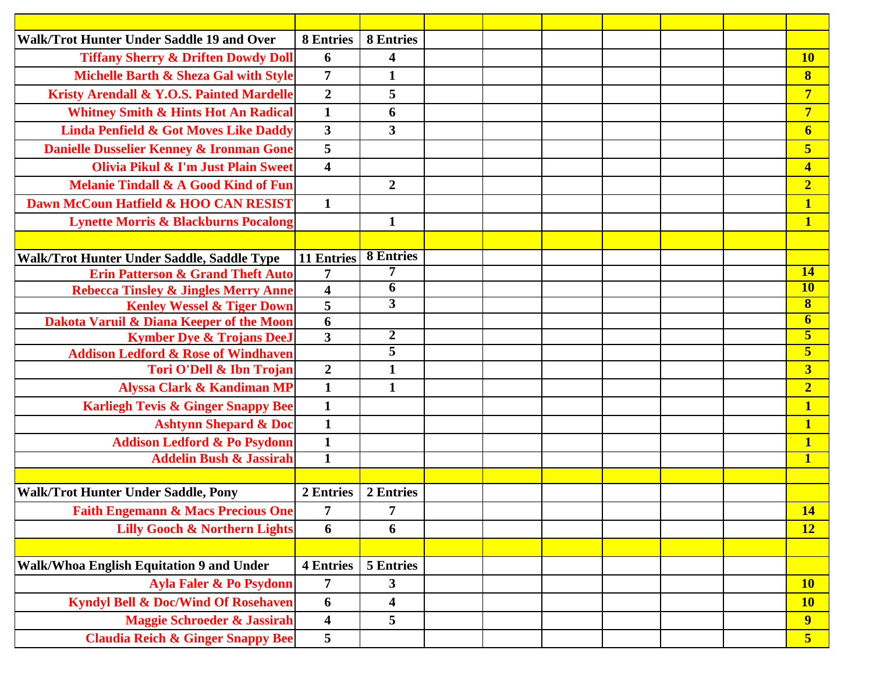| Walk/Trot Hunter Under Saddle 19 and Over            | <b>8 Entries</b>        | <b>8 Entries</b>        |  |  |  |                         |
|------------------------------------------------------|-------------------------|-------------------------|--|--|--|-------------------------|
| <b>Tiffany Sherry &amp; Driften Dowdy Doll</b>       | 6                       | $\overline{\mathbf{4}}$ |  |  |  | <b>10</b>               |
| Michelle Barth & Sheza Gal with Style                | $\overline{7}$          | $\mathbf{1}$            |  |  |  | $\bf{8}$                |
| <b>Kristy Arendall &amp; Y.O.S. Painted Mardelle</b> | $\overline{2}$          | 5                       |  |  |  | $\overline{7}$          |
| <b>Whitney Smith &amp; Hints Hot An Radical</b>      | $\mathbf{1}$            | 6                       |  |  |  | $\overline{7}$          |
| <b>Linda Penfield &amp; Got Moves Like Daddy</b>     | $\overline{\mathbf{3}}$ | $\mathbf{3}$            |  |  |  | $\boldsymbol{6}$        |
| Danielle Dusselier Kenney & Ironman Gone             | 5                       |                         |  |  |  | 5                       |
| Olivia Pikul & I'm Just Plain Sweet                  | $\overline{\mathbf{4}}$ |                         |  |  |  | $\overline{\mathbf{4}}$ |
| <b>Melanie Tindall &amp; A Good Kind of Fun</b>      |                         | $\overline{2}$          |  |  |  | $\overline{2}$          |
| Dawn McCoun Hatfield & HOO CAN RESIST                | $\mathbf{1}$            |                         |  |  |  | $\overline{\mathbf{1}}$ |
| <b>Lynette Morris &amp; Blackburns Pocalong</b>      |                         | $\mathbf{1}$            |  |  |  | $\mathbf{1}$            |
|                                                      |                         |                         |  |  |  |                         |
| Walk/Trot Hunter Under Saddle, Saddle Type           | 11 Entries              | <b>8 Entries</b>        |  |  |  |                         |
| <b>Erin Patterson &amp; Grand Theft Auto</b>         | $\overline{7}$          | 7                       |  |  |  | <b>14</b>               |
| <b>Rebecca Tinsley &amp; Jingles Merry Anne</b>      | $\overline{\mathbf{4}}$ | 6                       |  |  |  | <b>10</b>               |
| <b>Kenley Wessel &amp; Tiger Down</b>                | 5                       | $\overline{3}$          |  |  |  | $\bf{8}$                |
| Dakota Varuil & Diana Keeper of the Moon             | 6                       |                         |  |  |  | 6                       |
| <b>Kymber Dye &amp; Trojans DeeJ</b>                 | $\overline{\mathbf{3}}$ | $\overline{2}$          |  |  |  | $\overline{\mathbf{5}}$ |
| <b>Addison Ledford &amp; Rose of Windhaven</b>       |                         | 5                       |  |  |  | 5                       |
| Tori O'Dell & Ibn Trojan                             | $\overline{2}$          | $\mathbf{1}$            |  |  |  | $\overline{\mathbf{3}}$ |
| <b>Alyssa Clark &amp; Kandiman MP</b>                | $\mathbf{1}$            | $\mathbf{1}$            |  |  |  | $\overline{2}$          |
| <b>Karliegh Tevis &amp; Ginger Snappy Bee</b>        | $\mathbf{1}$            |                         |  |  |  | $\mathbf{1}$            |
| <b>Ashtynn Shepard &amp; Doc</b>                     | $\mathbf{1}$            |                         |  |  |  | $\overline{\mathbf{1}}$ |
| <b>Addison Ledford &amp; Po Psydonn</b>              | $\mathbf{1}$            |                         |  |  |  | $\mathbf{1}$            |
| <b>Addelin Bush &amp; Jassirah</b>                   | $\overline{1}$          |                         |  |  |  | $\mathbf{1}$            |
|                                                      |                         |                         |  |  |  |                         |
| Walk/Trot Hunter Under Saddle, Pony                  | 2 Entries               | 2 Entries               |  |  |  |                         |
| <b>Faith Engemann &amp; Macs Precious One</b>        | 7                       | 7                       |  |  |  | <u>14</u>               |
| <b>Lilly Gooch &amp; Northern Lights</b>             | 6                       | 6                       |  |  |  | <b>12</b>               |
|                                                      |                         |                         |  |  |  |                         |
| Walk/Whoa English Equitation 9 and Under             | <b>4 Entries</b>        | <b>5 Entries</b>        |  |  |  |                         |
| <b>Ayla Faler &amp; Po Psydonn</b>                   | 7                       | 3                       |  |  |  | <b>10</b>               |
| <b>Kyndyl Bell &amp; Doc/Wind Of Rosehaven</b>       | 6                       | $\overline{\mathbf{4}}$ |  |  |  | <b>10</b>               |
| <b>Maggie Schroeder &amp; Jassirah</b>               | $\overline{\mathbf{4}}$ | 5                       |  |  |  | $\overline{9}$          |
| <b>Claudia Reich &amp; Ginger Snappy Bee</b>         | 5                       |                         |  |  |  | 5 <sub>5</sub>          |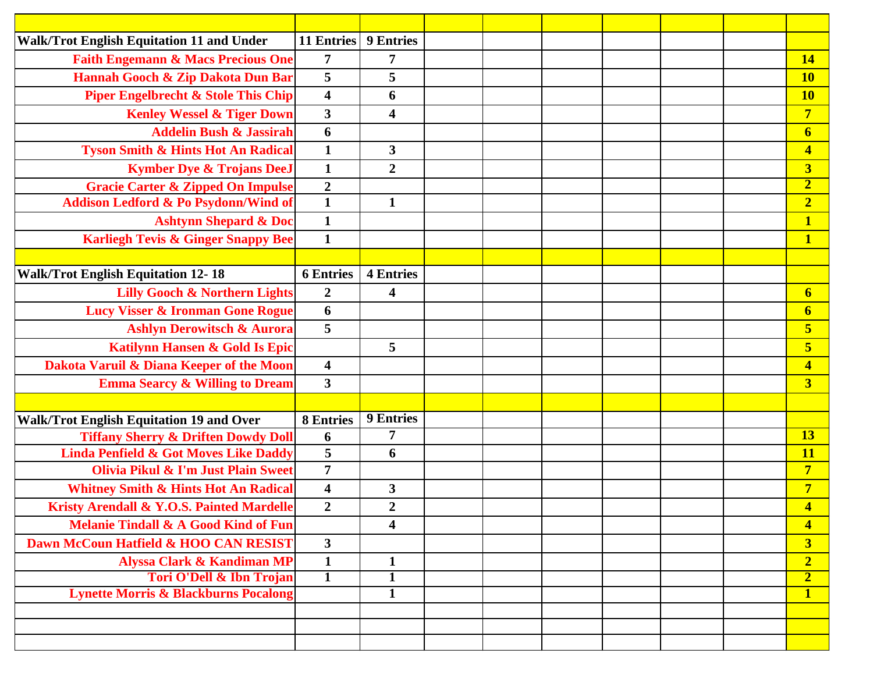| <b>Walk/Trot English Equitation 11 and Under</b> | <b>11 Entries</b>       | <b>9 Entries</b>        |  |  |  |                         |
|--------------------------------------------------|-------------------------|-------------------------|--|--|--|-------------------------|
| <b>Faith Engemann &amp; Macs Precious One</b>    | $\overline{7}$          | $\overline{7}$          |  |  |  | <b>14</b>               |
| Hannah Gooch & Zip Dakota Dun Bar                | 5                       | 5                       |  |  |  | <b>10</b>               |
| <b>Piper Engelbrecht &amp; Stole This Chip</b>   | $\overline{\mathbf{4}}$ | 6                       |  |  |  | <b>10</b>               |
| <b>Kenley Wessel &amp; Tiger Down</b>            | $\mathbf{3}$            | $\overline{\mathbf{4}}$ |  |  |  | $\overline{7}$          |
| <b>Addelin Bush &amp; Jassirah</b>               | 6                       |                         |  |  |  | $\boldsymbol{6}$        |
| <b>Tyson Smith &amp; Hints Hot An Radical</b>    | $\mathbf{1}$            | $\mathbf{3}$            |  |  |  | $\overline{\mathbf{4}}$ |
| <b>Kymber Dye &amp; Trojans DeeJ</b>             | $\mathbf{1}$            | $\boldsymbol{2}$        |  |  |  | $\overline{\mathbf{3}}$ |
| <b>Gracie Carter &amp; Zipped On Impulse</b>     | $\overline{2}$          |                         |  |  |  | $\overline{\mathbf{2}}$ |
| Addison Ledford & Po Psydonn/Wind of             | $\mathbf{1}$            | $\mathbf{1}$            |  |  |  | $\overline{2}$          |
| <b>Ashtynn Shepard &amp; Doc</b>                 | $\mathbf{1}$            |                         |  |  |  | $\mathbf{1}$            |
| <b>Karliegh Tevis &amp; Ginger Snappy Bee</b>    | $\mathbf{1}$            |                         |  |  |  | 1                       |
|                                                  |                         |                         |  |  |  |                         |
| <b>Walk/Trot English Equitation 12-18</b>        | <b>6 Entries</b>        | <b>4 Entries</b>        |  |  |  |                         |
| <b>Lilly Gooch &amp; Northern Lights</b>         | $\boldsymbol{2}$        | $\overline{\mathbf{4}}$ |  |  |  | 6                       |
| <b>Lucy Visser &amp; Ironman Gone Rogue</b>      | 6                       |                         |  |  |  | $\boldsymbol{6}$        |
| <b>Ashlyn Derowitsch &amp; Aurora</b>            | 5                       |                         |  |  |  | 5                       |
| <b>Katilynn Hansen &amp; Gold Is Epic</b>        |                         | 5                       |  |  |  | 5                       |
| Dakota Varuil & Diana Keeper of the Moon         | $\overline{\mathbf{4}}$ |                         |  |  |  | $\overline{\mathbf{4}}$ |
| <b>Emma Searcy &amp; Willing to Dream</b>        | $\overline{\mathbf{3}}$ |                         |  |  |  | $\overline{\mathbf{3}}$ |
|                                                  |                         |                         |  |  |  |                         |
| <b>Walk/Trot English Equitation 19 and Over</b>  | <b>8 Entries</b>        | <b>9 Entries</b>        |  |  |  |                         |
| <b>Tiffany Sherry &amp; Driften Dowdy Doll</b>   | 6                       | $\overline{7}$          |  |  |  | 13                      |
| <b>Linda Penfield &amp; Got Moves Like Daddy</b> | 5                       | 6                       |  |  |  | <b>11</b>               |
| <b>Olivia Pikul &amp; I'm Just Plain Sweet</b>   | $\overline{7}$          |                         |  |  |  | $\overline{7}$          |
| <b>Whitney Smith &amp; Hints Hot An Radical</b>  | $\overline{\mathbf{4}}$ | $\mathbf{3}$            |  |  |  | $\overline{7}$          |
| Kristy Arendall & Y.O.S. Painted Mardelle        | $\boldsymbol{2}$        | $\boldsymbol{2}$        |  |  |  | $\overline{\mathbf{4}}$ |
| <b>Melanie Tindall &amp; A Good Kind of Fun</b>  |                         | 4                       |  |  |  | $\overline{\mathbf{4}}$ |
| Dawn McCoun Hatfield & HOO CAN RESIST            | $\overline{\mathbf{3}}$ |                         |  |  |  | 3                       |
| <b>Alyssa Clark &amp; Kandiman MP</b>            | $\mathbf{1}$            | $\mathbf{1}$            |  |  |  | $\overline{2}$          |
| <b>Tori O'Dell &amp; Ibn Trojan</b>              | $\mathbf{1}$            | $\mathbf{1}$            |  |  |  | $\overline{2}$          |
| <b>Lynette Morris &amp; Blackburns Pocalong</b>  |                         | $\overline{1}$          |  |  |  | $\overline{\mathbf{1}}$ |
|                                                  |                         |                         |  |  |  |                         |
|                                                  |                         |                         |  |  |  |                         |
|                                                  |                         |                         |  |  |  |                         |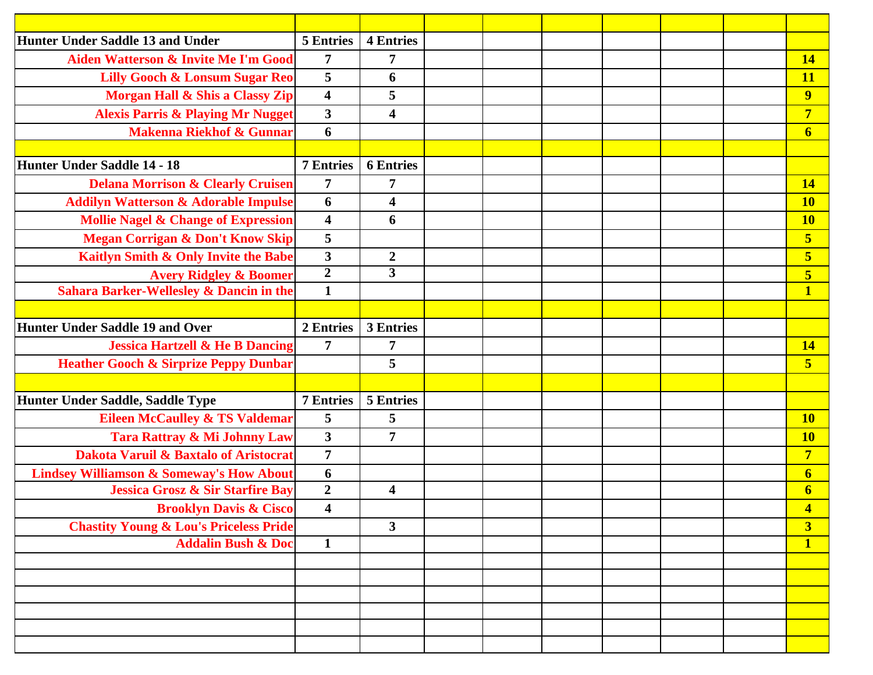| <b>Hunter Under Saddle 13 and Under</b>             | <b>5 Entries</b>        | <b>4 Entries</b>        |  |  |  |                         |
|-----------------------------------------------------|-------------------------|-------------------------|--|--|--|-------------------------|
| Aiden Watterson & Invite Me I'm Good                | 7                       | 7                       |  |  |  | <b>14</b>               |
| <b>Lilly Gooch &amp; Lonsum Sugar Reo</b>           | 5                       | 6                       |  |  |  | <b>11</b>               |
| Morgan Hall & Shis a Classy Zip                     | $\overline{\mathbf{4}}$ | 5                       |  |  |  | $\overline{\mathbf{9}}$ |
| <b>Alexis Parris &amp; Playing Mr Nugget</b>        | $\mathbf{3}$            | 4                       |  |  |  | $\overline{7}$          |
| <b>Makenna Riekhof &amp; Gunnar</b>                 | 6                       |                         |  |  |  | 6                       |
|                                                     |                         |                         |  |  |  |                         |
| <b>Hunter Under Saddle 14 - 18</b>                  | <b>7 Entries</b>        | <b>6</b> Entries        |  |  |  |                         |
| <b>Delana Morrison &amp; Clearly Cruisen</b>        | $\overline{7}$          | $\overline{7}$          |  |  |  | <b>14</b>               |
| <b>Addilyn Watterson &amp; Adorable Impulse</b>     | 6                       | $\overline{\mathbf{4}}$ |  |  |  | <b>10</b>               |
| <b>Mollie Nagel &amp; Change of Expression</b>      | $\overline{\mathbf{4}}$ | 6                       |  |  |  | <b>10</b>               |
| <b>Megan Corrigan &amp; Don't Know Skip</b>         | 5                       |                         |  |  |  | 5                       |
| Kaitlyn Smith & Only Invite the Babe                | $\overline{\mathbf{3}}$ | $\boldsymbol{2}$        |  |  |  | $\overline{\mathbf{5}}$ |
| <b>Avery Ridgley &amp; Boomer</b>                   | $\overline{2}$          | $\overline{\mathbf{3}}$ |  |  |  | $\overline{\mathbf{5}}$ |
| <b>Sahara Barker-Wellesley &amp; Dancin in the</b>  | $\mathbf{1}$            |                         |  |  |  | $\overline{\mathbf{1}}$ |
|                                                     |                         |                         |  |  |  |                         |
| <b>Hunter Under Saddle 19 and Over</b>              | 2 Entries               | 3 Entries               |  |  |  |                         |
| <b>Jessica Hartzell &amp; He B Dancing</b>          | 7                       | 7                       |  |  |  | <b>14</b>               |
| <b>Heather Gooch &amp; Sirprize Peppy Dunbar</b>    |                         | 5                       |  |  |  | $\overline{\mathbf{5}}$ |
|                                                     |                         |                         |  |  |  |                         |
| Hunter Under Saddle, Saddle Type                    | <b>7 Entries</b>        | 5 Entries               |  |  |  |                         |
| <b>Eileen McCaulley &amp; TS Valdemar</b>           | 5                       | 5                       |  |  |  | <b>10</b>               |
| Tara Rattray & Mi Johnny Law                        | $\mathbf{3}$            | $\overline{7}$          |  |  |  | <b>10</b>               |
| <b>Dakota Varuil &amp; Baxtalo of Aristocrat</b>    | $\overline{7}$          |                         |  |  |  | $\overline{7}$          |
| <b>Lindsey Williamson &amp; Someway's How About</b> | 6                       |                         |  |  |  | $6 \overline{6}$        |
| <b>Jessica Grosz &amp; Sir Starfire Bay</b>         | $\boldsymbol{2}$        | $\overline{\mathbf{4}}$ |  |  |  | $\boldsymbol{6}$        |
| <b>Brooklyn Davis &amp; Cisco</b>                   | $\overline{\mathbf{4}}$ |                         |  |  |  | $\overline{\mathbf{4}}$ |
| <b>Chastity Young &amp; Lou's Priceless Pride</b>   |                         | $\mathbf{3}$            |  |  |  | $\overline{\mathbf{3}}$ |
| <b>Addalin Bush &amp; Doc</b>                       | $\mathbf{1}$            |                         |  |  |  | $\mathbf{1}$            |
|                                                     |                         |                         |  |  |  |                         |
|                                                     |                         |                         |  |  |  |                         |
|                                                     |                         |                         |  |  |  |                         |
|                                                     |                         |                         |  |  |  |                         |
|                                                     |                         |                         |  |  |  |                         |
|                                                     |                         |                         |  |  |  |                         |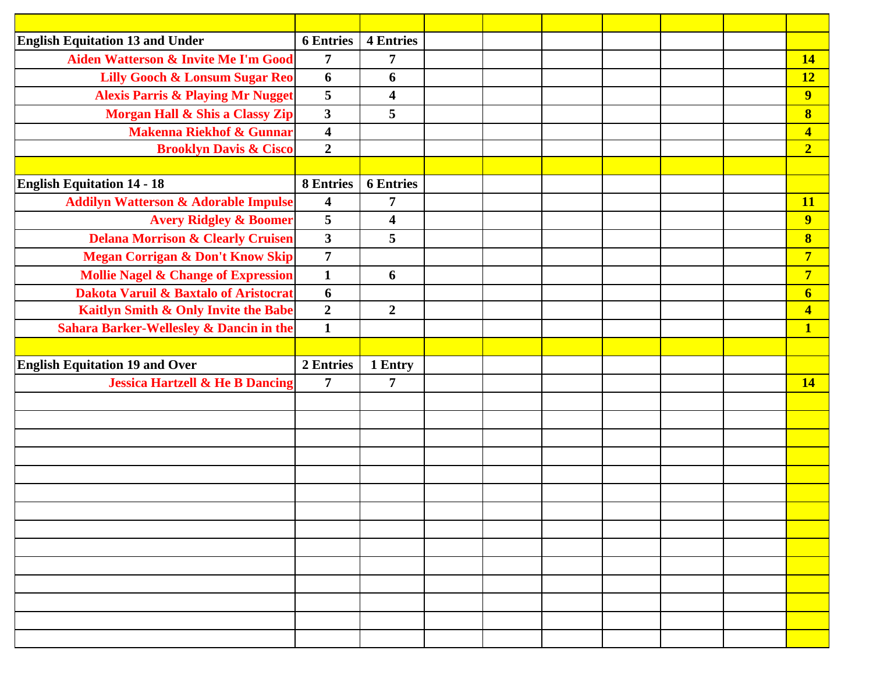| <b>English Equitation 13 and Under</b>             | <b>6</b> Entries        | <b>4 Entries</b>        |  |  |  |                         |
|----------------------------------------------------|-------------------------|-------------------------|--|--|--|-------------------------|
| Aiden Watterson & Invite Me I'm Good               | 7                       | 7                       |  |  |  | <b>14</b>               |
| <b>Lilly Gooch &amp; Lonsum Sugar Reo</b>          | 6                       | 6                       |  |  |  | <b>12</b>               |
| <b>Alexis Parris &amp; Playing Mr Nugget</b>       | 5                       | $\overline{\mathbf{4}}$ |  |  |  | 9                       |
| Morgan Hall & Shis a Classy Zip                    | $\overline{\mathbf{3}}$ | 5                       |  |  |  | $\bf{8}$                |
| <b>Makenna Riekhof &amp; Gunnar</b>                | $\overline{\mathbf{4}}$ |                         |  |  |  | $\overline{\mathbf{4}}$ |
| <b>Brooklyn Davis &amp; Cisco</b>                  | $\overline{2}$          |                         |  |  |  | $\overline{2}$          |
|                                                    |                         |                         |  |  |  |                         |
| <b>English Equitation 14 - 18</b>                  | <b>8 Entries</b>        | <b>6 Entries</b>        |  |  |  |                         |
| <b>Addilyn Watterson &amp; Adorable Impulse</b>    | $\overline{\mathbf{4}}$ | $\overline{7}$          |  |  |  | <b>11</b>               |
| <b>Avery Ridgley &amp; Boomer</b>                  | 5                       | $\overline{\mathbf{4}}$ |  |  |  | $\overline{\mathbf{9}}$ |
| <b>Delana Morrison &amp; Clearly Cruisen</b>       | $\mathbf{3}$            | 5                       |  |  |  | $\bf{8}$                |
| <b>Megan Corrigan &amp; Don't Know Skip</b>        | $\overline{7}$          |                         |  |  |  | $\overline{7}$          |
| <b>Mollie Nagel &amp; Change of Expression</b>     | $\mathbf{1}$            | 6                       |  |  |  | $\overline{7}$          |
| Dakota Varuil & Baxtalo of Aristocrat              | 6                       |                         |  |  |  | $6 \overline{6}$        |
| Kaitlyn Smith & Only Invite the Babe               | $\boldsymbol{2}$        | $\overline{2}$          |  |  |  | $\overline{\mathbf{4}}$ |
| <b>Sahara Barker-Wellesley &amp; Dancin in the</b> | $\mathbf{1}$            |                         |  |  |  | $\mathbf{1}$            |
|                                                    |                         |                         |  |  |  |                         |
| <b>English Equitation 19 and Over</b>              | 2 Entries               | 1 Entry                 |  |  |  |                         |
| <b>Jessica Hartzell &amp; He B Dancing</b>         | $\overline{7}$          | $\overline{7}$          |  |  |  | <b>14</b>               |
|                                                    |                         |                         |  |  |  |                         |
|                                                    |                         |                         |  |  |  |                         |
|                                                    |                         |                         |  |  |  |                         |
|                                                    |                         |                         |  |  |  |                         |
|                                                    |                         |                         |  |  |  |                         |
|                                                    |                         |                         |  |  |  |                         |
|                                                    |                         |                         |  |  |  |                         |
|                                                    |                         |                         |  |  |  |                         |
|                                                    |                         |                         |  |  |  |                         |
|                                                    |                         |                         |  |  |  |                         |
|                                                    |                         |                         |  |  |  |                         |
|                                                    |                         |                         |  |  |  |                         |
|                                                    |                         |                         |  |  |  |                         |
|                                                    |                         |                         |  |  |  |                         |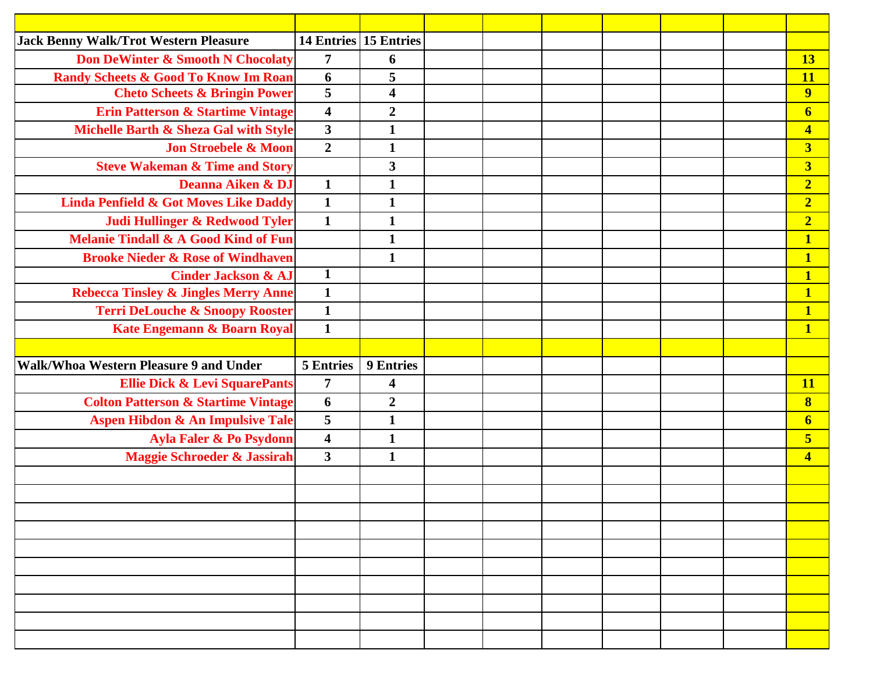| <b>Jack Benny Walk/Trot Western Pleasure</b>     |                         | 14 Entries 15 Entries   |  |  |  |                         |
|--------------------------------------------------|-------------------------|-------------------------|--|--|--|-------------------------|
| <b>Don DeWinter &amp; Smooth N Chocolaty</b>     | $\overline{7}$          | 6                       |  |  |  | 13                      |
| <b>Randy Scheets &amp; Good To Know Im Roan</b>  | 6                       | 5                       |  |  |  | <b>11</b>               |
| <b>Cheto Scheets &amp; Bringin Power</b>         | $\overline{\mathbf{5}}$ | $\overline{\mathbf{4}}$ |  |  |  | $\overline{9}$          |
| <b>Erin Patterson &amp; Startime Vintage</b>     | $\overline{\mathbf{4}}$ | $\boldsymbol{2}$        |  |  |  | $\boldsymbol{6}$        |
| Michelle Barth & Sheza Gal with Style            | $\overline{\mathbf{3}}$ | $\mathbf{1}$            |  |  |  | $\overline{\mathbf{4}}$ |
| <b>Jon Stroebele &amp; Moon</b>                  | $\overline{2}$          | $\mathbf{1}$            |  |  |  | $\overline{\mathbf{3}}$ |
| <b>Steve Wakeman &amp; Time and Story</b>        |                         | $\mathbf{3}$            |  |  |  | $\overline{\mathbf{3}}$ |
| Deanna Aiken & DJ                                | $\mathbf{1}$            | $\mathbf{1}$            |  |  |  | $\overline{2}$          |
| <b>Linda Penfield &amp; Got Moves Like Daddy</b> | $\mathbf{1}$            | $\mathbf{1}$            |  |  |  | $\overline{2}$          |
| Judi Hullinger & Redwood Tyler                   | $\mathbf{1}$            | $\mathbf{1}$            |  |  |  | $\overline{2}$          |
| <b>Melanie Tindall &amp; A Good Kind of Fun</b>  |                         | $\mathbf{1}$            |  |  |  | $\mathbf{1}$            |
| <b>Brooke Nieder &amp; Rose of Windhaven</b>     |                         | $\mathbf{1}$            |  |  |  | $\mathbf{1}$            |
| <b>Cinder Jackson &amp; AJ</b>                   | $\mathbf{1}$            |                         |  |  |  | $\overline{\mathbf{1}}$ |
| <b>Rebecca Tinsley &amp; Jingles Merry Anne</b>  | $\mathbf{1}$            |                         |  |  |  | $\overline{\mathbf{1}}$ |
| <b>Terri DeLouche &amp; Snoopy Rooster</b>       | $\mathbf{1}$            |                         |  |  |  | $\mathbf{1}$            |
| Kate Engemann & Boarn Royal                      | $\mathbf{1}$            |                         |  |  |  | $\overline{\mathbf{1}}$ |
|                                                  |                         |                         |  |  |  |                         |
| Walk/Whoa Western Pleasure 9 and Under           | <b>5 Entries</b>        | <b>9 Entries</b>        |  |  |  |                         |
| <b>Ellie Dick &amp; Levi SquarePants</b>         | $\overline{7}$          | $\overline{\mathbf{4}}$ |  |  |  | <b>11</b>               |
| <b>Colton Patterson &amp; Startime Vintage</b>   | 6                       | $\boldsymbol{2}$        |  |  |  | $\overline{\mathbf{8}}$ |
| <b>Aspen Hibdon &amp; An Impulsive Tale</b>      | 5                       | $\mathbf{1}$            |  |  |  | $\boldsymbol{6}$        |
| Ayla Faler & Po Psydonn                          | $\overline{\mathbf{4}}$ | $\mathbf{1}$            |  |  |  | $\overline{\mathbf{5}}$ |
| <b>Maggie Schroeder &amp; Jassirah</b>           | $\mathbf{3}$            | $\mathbf{1}$            |  |  |  | $\overline{\mathbf{4}}$ |
|                                                  |                         |                         |  |  |  |                         |
|                                                  |                         |                         |  |  |  |                         |
|                                                  |                         |                         |  |  |  |                         |
|                                                  |                         |                         |  |  |  |                         |
|                                                  |                         |                         |  |  |  |                         |
|                                                  |                         |                         |  |  |  |                         |
|                                                  |                         |                         |  |  |  |                         |
|                                                  |                         |                         |  |  |  |                         |
|                                                  |                         |                         |  |  |  |                         |
|                                                  |                         |                         |  |  |  |                         |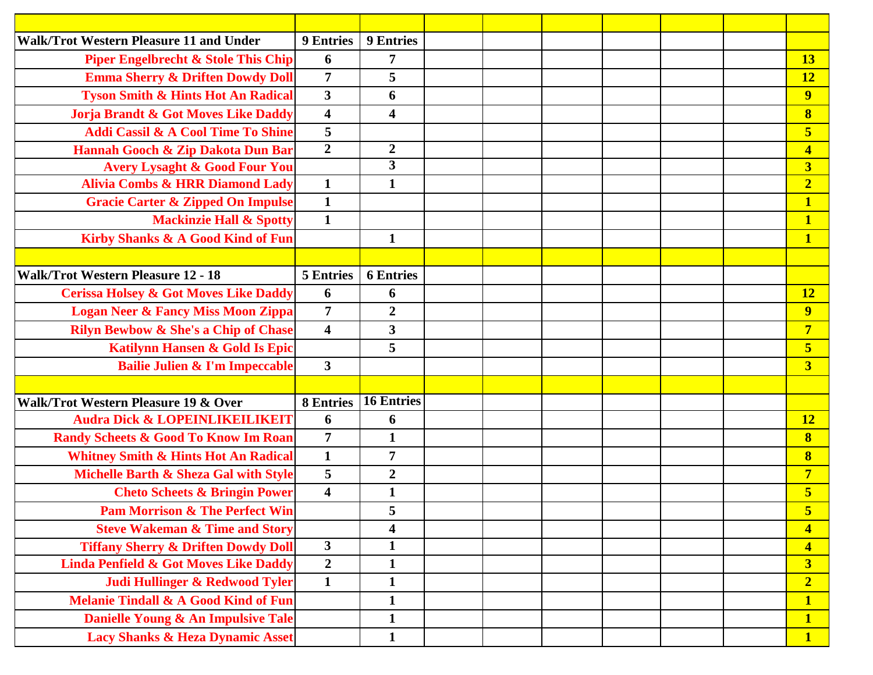| <b>Walk/Trot Western Pleasure 11 and Under</b>   | <b>9 Entries</b>        | <b>9 Entries</b>        |  |  |  |                                          |
|--------------------------------------------------|-------------------------|-------------------------|--|--|--|------------------------------------------|
| <b>Piper Engelbrecht &amp; Stole This Chip</b>   | 6                       | $\overline{7}$          |  |  |  | 13                                       |
| <b>Emma Sherry &amp; Driften Dowdy Doll</b>      | $\overline{7}$          | 5                       |  |  |  | 12                                       |
| <b>Tyson Smith &amp; Hints Hot An Radical</b>    | $\mathbf{3}$            | 6                       |  |  |  | $\overline{\mathbf{9}}$                  |
| Jorja Brandt & Got Moves Like Daddy              | $\overline{\mathbf{4}}$ | $\overline{\mathbf{4}}$ |  |  |  | $\bf{8}$                                 |
| <b>Addi Cassil &amp; A Cool Time To Shine</b>    | 5                       |                         |  |  |  | $\overline{\mathbf{5}}$                  |
| Hannah Gooch & Zip Dakota Dun Bar                | $\overline{2}$          | $\boldsymbol{2}$        |  |  |  | $\overline{\mathbf{4}}$                  |
| <b>Avery Lysaght &amp; Good Four You</b>         |                         | $\overline{\mathbf{3}}$ |  |  |  | $\overline{\mathbf{3}}$                  |
| <b>Alivia Combs &amp; HRR Diamond Lady</b>       | $\mathbf{1}$            | $\mathbf{1}$            |  |  |  | $\overline{2}$                           |
| <b>Gracie Carter &amp; Zipped On Impulse</b>     | $\mathbf{1}$            |                         |  |  |  | $\mathbf{1}$                             |
| <b>Mackinzie Hall &amp; Spotty</b>               | $\mathbf{1}$            |                         |  |  |  | $\mathbf{1}$                             |
| Kirby Shanks & A Good Kind of Fun                |                         | $\mathbf{1}$            |  |  |  | $\overline{\mathbf{1}}$                  |
|                                                  |                         |                         |  |  |  |                                          |
| <b>Walk/Trot Western Pleasure 12 - 18</b>        | <b>5 Entries</b>        | <b>6 Entries</b>        |  |  |  |                                          |
| <b>Cerissa Holsey &amp; Got Moves Like Daddy</b> | 6                       | 6                       |  |  |  | <b>12</b>                                |
| <b>Logan Neer &amp; Fancy Miss Moon Zippa</b>    | $\overline{7}$          | $\boldsymbol{2}$        |  |  |  | 9                                        |
| <b>Rilyn Bewbow &amp; She's a Chip of Chase</b>  | $\overline{\mathbf{4}}$ | $\overline{\mathbf{3}}$ |  |  |  | $\overline{7}$                           |
| Katilynn Hansen & Gold Is Epic                   |                         | 5                       |  |  |  | 5                                        |
| <b>Bailie Julien &amp; I'm Impeccable</b>        | $\mathbf{3}$            |                         |  |  |  | $\overline{\mathbf{3}}$                  |
|                                                  |                         |                         |  |  |  |                                          |
| <b>Walk/Trot Western Pleasure 19 &amp; Over</b>  | <b>8 Entries</b>        | <b>16 Entries</b>       |  |  |  |                                          |
| <b>Audra Dick &amp; LOPEINLIKEILIKEIT</b>        | 6                       | 6                       |  |  |  | <b>12</b>                                |
| <b>Randy Scheets &amp; Good To Know Im Roan</b>  | 7                       | $\mathbf{1}$            |  |  |  | $\bf{8}$                                 |
| <b>Whitney Smith &amp; Hints Hot An Radical</b>  | $\mathbf{1}$            | $\overline{7}$          |  |  |  | $\bf{8}$                                 |
| Michelle Barth & Sheza Gal with Style            | 5                       | $\boldsymbol{2}$        |  |  |  | $\overline{7}$                           |
| <b>Cheto Scheets &amp; Bringin Power</b>         | 4                       | $\mathbf{1}$            |  |  |  | 5                                        |
| <b>Pam Morrison &amp; The Perfect Win</b>        |                         | C                       |  |  |  | $\overline{\phantom{0}}$<br>$\mathbf{c}$ |
| <b>Steve Wakeman &amp; Time and Story</b>        |                         | 4                       |  |  |  | $\overline{\mathbf{4}}$                  |
| <b>Tiffany Sherry &amp; Driften Dowdy Doll</b>   | 3 <sup>1</sup>          | $\mathbf{1}$            |  |  |  | $\overline{\mathbf{4}}$                  |
| <b>Linda Penfield &amp; Got Moves Like Daddy</b> | $\overline{2}$          | $\mathbf{1}$            |  |  |  | $\overline{\mathbf{3}}$                  |
| Judi Hullinger & Redwood Tyler                   | $\mathbf{1}$            | $\mathbf{1}$            |  |  |  | $\overline{2}$                           |
| <b>Melanie Tindall &amp; A Good Kind of Fun</b>  |                         | $\mathbf{1}$            |  |  |  | $\mathbf{1}$                             |
| Danielle Young & An Impulsive Tale               |                         | $\mathbf{1}$            |  |  |  | $\mathbf{1}$                             |
| <b>Lacy Shanks &amp; Heza Dynamic Asset</b>      |                         | $\mathbf{1}$            |  |  |  | $\mathbf{1}$                             |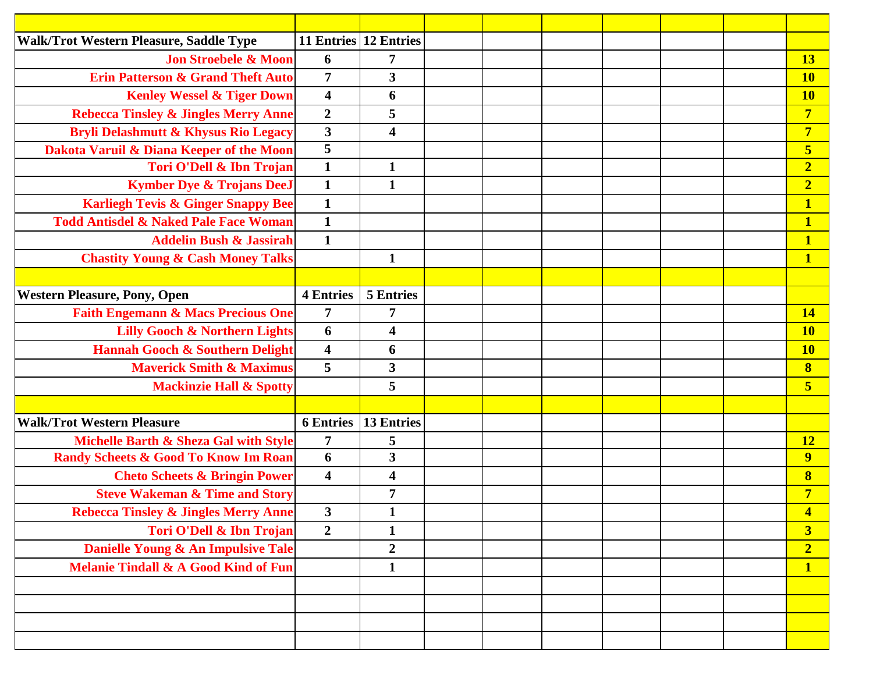| Walk/Trot Western Pleasure, Saddle Type          |                         | 11 Entries 12 Entries   |  |  |  |                         |
|--------------------------------------------------|-------------------------|-------------------------|--|--|--|-------------------------|
| <b>Jon Stroebele &amp; Moon</b>                  | 6                       | $\overline{7}$          |  |  |  | 13                      |
| <b>Erin Patterson &amp; Grand Theft Auto</b>     | $\overline{7}$          | $\overline{\mathbf{3}}$ |  |  |  | <b>10</b>               |
| <b>Kenley Wessel &amp; Tiger Down</b>            | $\overline{\mathbf{4}}$ | 6                       |  |  |  | <b>10</b>               |
| <b>Rebecca Tinsley &amp; Jingles Merry Anne</b>  | $\boldsymbol{2}$        | 5                       |  |  |  | $\overline{7}$          |
| <b>Bryli Delashmutt &amp; Khysus Rio Legacy</b>  | $\mathbf{3}$            | $\overline{\mathbf{4}}$ |  |  |  | $\overline{7}$          |
| Dakota Varuil & Diana Keeper of the Moon         | $\overline{5}$          |                         |  |  |  | 5                       |
| Tori O'Dell & Ibn Trojan                         | $\mathbf{1}$            | $\mathbf{1}$            |  |  |  | $\overline{2}$          |
| <b>Kymber Dye &amp; Trojans DeeJ</b>             | $\mathbf{1}$            | $\mathbf{1}$            |  |  |  | $\overline{2}$          |
| <b>Karliegh Tevis &amp; Ginger Snappy Bee</b>    | $\mathbf{1}$            |                         |  |  |  | 1                       |
| <b>Todd Antisdel &amp; Naked Pale Face Woman</b> | $\mathbf{1}$            |                         |  |  |  | $\mathbf{1}$            |
| <b>Addelin Bush &amp; Jassirah</b>               | $\mathbf{1}$            |                         |  |  |  | $\mathbf{1}$            |
| <b>Chastity Young &amp; Cash Money Talks</b>     |                         | $\mathbf{1}$            |  |  |  | $\mathbf{1}$            |
|                                                  |                         |                         |  |  |  |                         |
| <b>Western Pleasure, Pony, Open</b>              | <b>4 Entries</b>        | <b>5 Entries</b>        |  |  |  |                         |
| <b>Faith Engemann &amp; Macs Precious One</b>    | 7                       | 7                       |  |  |  | <b>14</b>               |
| <b>Lilly Gooch &amp; Northern Lights</b>         | 6                       | 4                       |  |  |  | <b>10</b>               |
| <b>Hannah Gooch &amp; Southern Delight</b>       | $\overline{\mathbf{4}}$ | 6                       |  |  |  | <b>10</b>               |
| <b>Maverick Smith &amp; Maximus</b>              | 5                       | $\mathbf{3}$            |  |  |  | $\boldsymbol{8}$        |
| <b>Mackinzie Hall &amp; Spotty</b>               |                         | 5                       |  |  |  | 5                       |
|                                                  |                         |                         |  |  |  |                         |
| <b>Walk/Trot Western Pleasure</b>                | <b>6</b> Entries        | <b>13 Entries</b>       |  |  |  |                         |
| Michelle Barth & Sheza Gal with Style            | $\overline{7}$          | 5                       |  |  |  | <b>12</b>               |
| <b>Randy Scheets &amp; Good To Know Im Roan</b>  | 6                       | 3                       |  |  |  | $\overline{9}$          |
| <b>Cheto Scheets &amp; Bringin Power</b>         | $\overline{\mathbf{4}}$ | $\overline{\mathbf{4}}$ |  |  |  | $\bf{8}$                |
| <b>Steve Wakeman &amp; Time and Story</b>        |                         | $\overline{7}$          |  |  |  | $\overline{7}$          |
| <b>Rebecca Tinsley &amp; Jingles Merry Anne</b>  | 3                       | 1                       |  |  |  | $\overline{\mathbf{4}}$ |
| Tori O'Dell & Ibn Trojan                         | $\overline{2}$          | $\mathbf{1}$            |  |  |  | $\overline{\mathbf{3}}$ |
| Danielle Young & An Impulsive Tale               |                         | $\boldsymbol{2}$        |  |  |  | $\overline{2}$          |
| <b>Melanie Tindall &amp; A Good Kind of Fun</b>  |                         | $\mathbf{1}$            |  |  |  | $\mathbf{1}$            |
|                                                  |                         |                         |  |  |  |                         |
|                                                  |                         |                         |  |  |  |                         |
|                                                  |                         |                         |  |  |  |                         |
|                                                  |                         |                         |  |  |  |                         |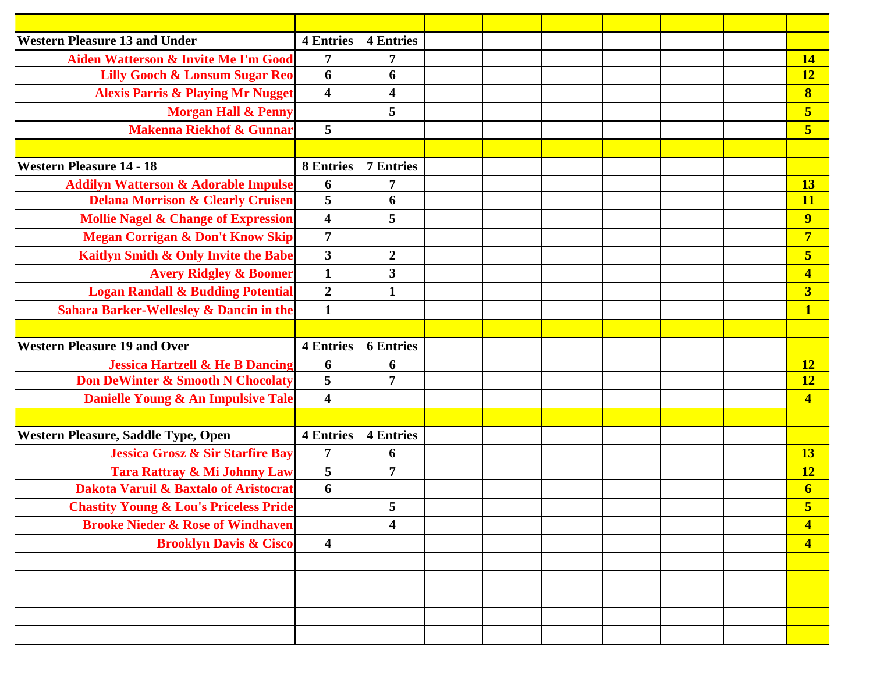| <b>Western Pleasure 13 and Under</b>               | <b>4 Entries</b>        | <b>4 Entries</b>        |  |  |  |                         |
|----------------------------------------------------|-------------------------|-------------------------|--|--|--|-------------------------|
| Aiden Watterson & Invite Me I'm Good               | 7                       | $\overline{7}$          |  |  |  | <b>14</b>               |
| <b>Lilly Gooch &amp; Lonsum Sugar Reo</b>          | 6                       | 6                       |  |  |  | <b>12</b>               |
| <b>Alexis Parris &amp; Playing Mr Nugget</b>       | $\overline{\mathbf{4}}$ | $\overline{\mathbf{4}}$ |  |  |  | $\bf{8}$                |
| <b>Morgan Hall &amp; Penny</b>                     |                         | 5                       |  |  |  | $\overline{\mathbf{5}}$ |
| <b>Makenna Riekhof &amp; Gunnar</b>                | $5\overline{)}$         |                         |  |  |  | $5\overline{)}$         |
|                                                    |                         |                         |  |  |  |                         |
| <b>Western Pleasure 14 - 18</b>                    | <b>8 Entries</b>        | <b>7 Entries</b>        |  |  |  |                         |
| <b>Addilyn Watterson &amp; Adorable Impulse</b>    | 6                       | $\overline{7}$          |  |  |  | <b>13</b>               |
| <b>Delana Morrison &amp; Clearly Cruisen</b>       | 5                       | 6                       |  |  |  | <b>11</b>               |
| <b>Mollie Nagel &amp; Change of Expression</b>     | $\overline{\mathbf{4}}$ | 5                       |  |  |  | $\overline{9}$          |
| <b>Megan Corrigan &amp; Don't Know Skip</b>        | $\overline{7}$          |                         |  |  |  | $\overline{7}$          |
| Kaitlyn Smith & Only Invite the Babe               | $\mathbf{3}$            | $\overline{2}$          |  |  |  | $\overline{\mathbf{5}}$ |
| <b>Avery Ridgley &amp; Boomer</b>                  | $\mathbf{1}$            | 3                       |  |  |  | $\overline{\mathbf{4}}$ |
| <b>Logan Randall &amp; Budding Potential</b>       | $\boldsymbol{2}$        | $\mathbf{1}$            |  |  |  | $\overline{\mathbf{3}}$ |
| <b>Sahara Barker-Wellesley &amp; Dancin in the</b> | $\mathbf{1}$            |                         |  |  |  | $\mathbf{1}$            |
|                                                    |                         |                         |  |  |  |                         |
| <b>Western Pleasure 19 and Over</b>                | <b>4 Entries</b>        | <b>6 Entries</b>        |  |  |  |                         |
| <b>Jessica Hartzell &amp; He B Dancing</b>         | 6                       | 6                       |  |  |  | <b>12</b>               |
| <b>Don DeWinter &amp; Smooth N Chocolaty</b>       | 5                       | $\overline{7}$          |  |  |  | <b>12</b>               |
| Danielle Young & An Impulsive Tale                 | $\overline{\mathbf{4}}$ |                         |  |  |  | $\overline{\mathbf{4}}$ |
|                                                    |                         |                         |  |  |  |                         |
| Western Pleasure, Saddle Type, Open                | <b>4 Entries</b>        | <b>4 Entries</b>        |  |  |  |                         |
| <b>Jessica Grosz &amp; Sir Starfire Bay</b>        | $\overline{7}$          | 6                       |  |  |  | <b>13</b>               |
| Tara Rattray & Mi Johnny Law                       | 5                       | $\overline{7}$          |  |  |  | <b>12</b>               |
| <b>Dakota Varuil &amp; Baxtalo of Aristocrat</b>   | 6                       |                         |  |  |  | $\overline{\mathbf{6}}$ |
| <b>Chastity Young &amp; Lou's Priceless Pride</b>  |                         | $5\phantom{.0}$         |  |  |  | $\overline{\mathbf{5}}$ |
| <b>Brooke Nieder &amp; Rose of Windhaven</b>       |                         | 4                       |  |  |  | $\overline{\mathbf{4}}$ |
| <b>Brooklyn Davis &amp; Cisco</b>                  | $\overline{\mathbf{4}}$ |                         |  |  |  | $\overline{\mathbf{4}}$ |
|                                                    |                         |                         |  |  |  |                         |
|                                                    |                         |                         |  |  |  |                         |
|                                                    |                         |                         |  |  |  |                         |
|                                                    |                         |                         |  |  |  |                         |
|                                                    |                         |                         |  |  |  |                         |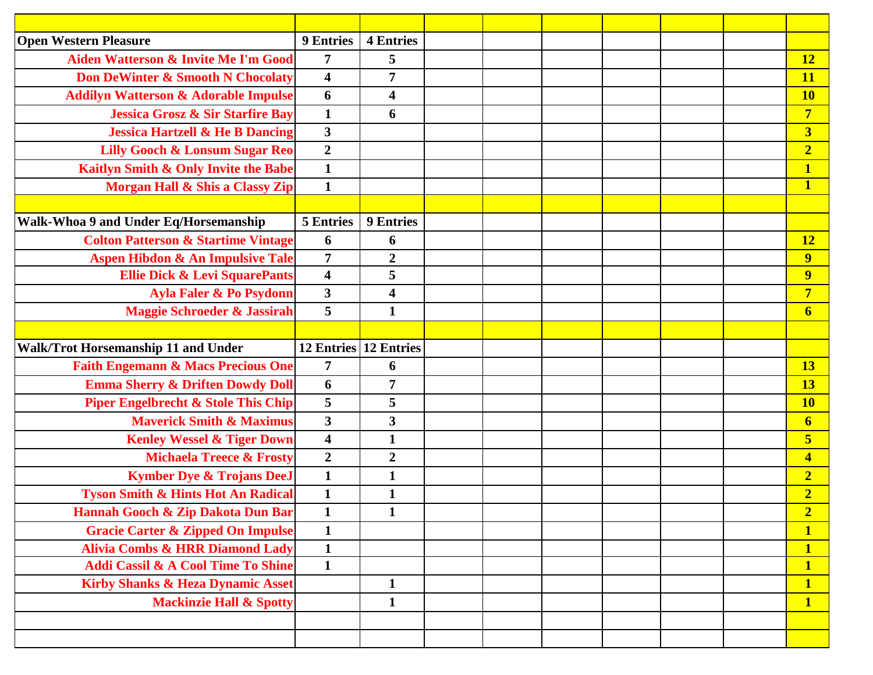| <b>Open Western Pleasure</b>                    | <b>9 Entries</b>        | <b>4 Entries</b>        |  |  |  |                         |
|-------------------------------------------------|-------------------------|-------------------------|--|--|--|-------------------------|
| <b>Aiden Watterson &amp; Invite Me I'm Good</b> | 7                       | 5                       |  |  |  | 12                      |
| <b>Don DeWinter &amp; Smooth N Chocolaty</b>    | $\overline{\mathbf{4}}$ | 7                       |  |  |  | <b>11</b>               |
| <b>Addilyn Watterson &amp; Adorable Impulse</b> | 6                       | 4                       |  |  |  | <b>10</b>               |
| <b>Jessica Grosz &amp; Sir Starfire Bay</b>     | $\mathbf{1}$            | 6                       |  |  |  | $\overline{7}$          |
| <b>Jessica Hartzell &amp; He B Dancing</b>      | $\mathbf{3}$            |                         |  |  |  | $\overline{\mathbf{3}}$ |
| <b>Lilly Gooch &amp; Lonsum Sugar Reo</b>       | $\boldsymbol{2}$        |                         |  |  |  | $\overline{2}$          |
| Kaitlyn Smith & Only Invite the Babe            | $\mathbf{1}$            |                         |  |  |  | $\overline{\mathbf{1}}$ |
| Morgan Hall & Shis a Classy Zip                 | $\mathbf{1}$            |                         |  |  |  | $\mathbf{1}$            |
|                                                 |                         |                         |  |  |  |                         |
| Walk-Whoa 9 and Under Eq/Horsemanship           | <b>5 Entries</b>        | <b>9 Entries</b>        |  |  |  |                         |
| <b>Colton Patterson &amp; Startime Vintage</b>  | 6                       | 6                       |  |  |  | <b>12</b>               |
| <b>Aspen Hibdon &amp; An Impulsive Tale</b>     | $\overline{7}$          | $\boldsymbol{2}$        |  |  |  | 9                       |
| <b>Ellie Dick &amp; Levi SquarePants</b>        | $\overline{\mathbf{4}}$ | 5                       |  |  |  | $\overline{9}$          |
| Ayla Faler & Po Psydonn                         | $\overline{\mathbf{3}}$ | $\overline{\mathbf{4}}$ |  |  |  | $\overline{7}$          |
| <b>Maggie Schroeder &amp; Jassirah</b>          | 5                       | $\mathbf{1}$            |  |  |  | $6 \overline{6}$        |
|                                                 |                         |                         |  |  |  |                         |
| Walk/Trot Horsemanship 11 and Under             |                         | 12 Entries 12 Entries   |  |  |  |                         |
| <b>Faith Engemann &amp; Macs Precious One</b>   | $\overline{7}$          | 6                       |  |  |  | <b>13</b>               |
| <b>Emma Sherry &amp; Driften Dowdy Doll</b>     | 6                       | 7                       |  |  |  | 13                      |
| <b>Piper Engelbrecht &amp; Stole This Chip</b>  | 5                       | 5                       |  |  |  | <b>10</b>               |
| <b>Maverick Smith &amp; Maximus</b>             | $\mathbf{3}$            | 3                       |  |  |  | $6 \overline{6}$        |
| <b>Kenley Wessel &amp; Tiger Down</b>           | $\overline{\mathbf{4}}$ | $\mathbf{1}$            |  |  |  | 5                       |
| <b>Michaela Treece &amp; Frosty</b>             | $\overline{2}$          | $\boldsymbol{2}$        |  |  |  | $\overline{\mathbf{4}}$ |
| <b>Kymber Dye &amp; Trojans DeeJ</b>            | $\mathbf{1}$            | $\mathbf{1}$            |  |  |  | $\overline{\mathbf{2}}$ |
| <b>Tyson Smith &amp; Hints Hot An Radical</b>   | $\mathbf{1}$            | $\mathbf{1}$            |  |  |  | $\overline{2}$          |
| Hannah Gooch & Zip Dakota Dun Bar               | $\mathbf{1}$            | $\mathbf{1}$            |  |  |  | $\overline{2}$          |
| <b>Gracie Carter &amp; Zipped On Impulse</b>    | $\mathbf{1}$            |                         |  |  |  |                         |
| <b>Alivia Combs &amp; HRR Diamond Lady</b>      | $\mathbf{1}$            |                         |  |  |  | $\mathbf{1}$            |
| <b>Addi Cassil &amp; A Cool Time To Shine</b>   | $\mathbf{1}$            |                         |  |  |  | $\mathbf{1}$            |
| <b>Kirby Shanks &amp; Heza Dynamic Asset</b>    |                         | $\mathbf{1}$            |  |  |  | $\mathbf{1}$            |
| <b>Mackinzie Hall &amp; Spotty</b>              |                         | $\mathbf{1}$            |  |  |  | $\mathbf{1}$            |
|                                                 |                         |                         |  |  |  |                         |
|                                                 |                         |                         |  |  |  |                         |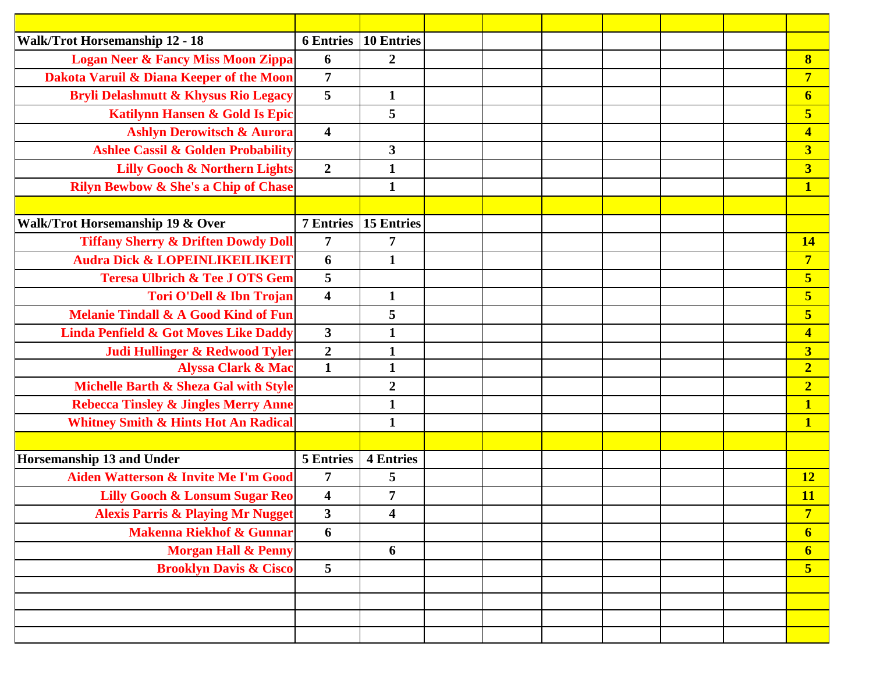| <b>Walk/Trot Horsemanship 12 - 18</b>            | <b>6 Entries</b>        | <b>10 Entries</b>       |  |  |  |                         |
|--------------------------------------------------|-------------------------|-------------------------|--|--|--|-------------------------|
| <b>Logan Neer &amp; Fancy Miss Moon Zippa</b>    | 6                       | $\overline{2}$          |  |  |  | $\bf{8}$                |
| Dakota Varuil & Diana Keeper of the Moon         | $\overline{7}$          |                         |  |  |  | $\overline{7}$          |
| Bryli Delashmutt & Khysus Rio Legacy             | 5                       | $\mathbf{1}$            |  |  |  | $\overline{\mathbf{6}}$ |
| <b>Katilynn Hansen &amp; Gold Is Epic</b>        |                         | 5                       |  |  |  | 5                       |
| <b>Ashlyn Derowitsch &amp; Aurora</b>            | $\overline{\mathbf{4}}$ |                         |  |  |  | $\overline{\mathbf{4}}$ |
| <b>Ashlee Cassil &amp; Golden Probability</b>    |                         | $\overline{\mathbf{3}}$ |  |  |  | $\overline{\mathbf{3}}$ |
| <b>Lilly Gooch &amp; Northern Lights</b>         | $\overline{2}$          | $\mathbf{1}$            |  |  |  | $\overline{\mathbf{3}}$ |
| <b>Rilyn Bewbow &amp; She's a Chip of Chase</b>  |                         | $\mathbf{1}$            |  |  |  | $\mathbf{1}$            |
|                                                  |                         |                         |  |  |  |                         |
| Walk/Trot Horsemanship 19 & Over                 | <b>7 Entries</b>        | <b>15 Entries</b>       |  |  |  |                         |
| <b>Tiffany Sherry &amp; Driften Dowdy Doll</b>   | $\overline{7}$          | $\overline{7}$          |  |  |  | <b>14</b>               |
| <b>Audra Dick &amp; LOPEINLIKEILIKEIT</b>        | 6                       | $\mathbf{1}$            |  |  |  | $\overline{7}$          |
| <b>Teresa Ulbrich &amp; Tee J OTS Gem</b>        | 5                       |                         |  |  |  | 5                       |
| Tori O'Dell & Ibn Trojan                         | $\overline{\mathbf{4}}$ | $\mathbf{1}$            |  |  |  | 5                       |
| <b>Melanie Tindall &amp; A Good Kind of Fun</b>  |                         | 5                       |  |  |  | 5                       |
| <b>Linda Penfield &amp; Got Moves Like Daddy</b> | $\overline{\mathbf{3}}$ | $\mathbf{1}$            |  |  |  | $\overline{\mathbf{4}}$ |
| Judi Hullinger & Redwood Tyler                   | $\boldsymbol{2}$        | $\mathbf{1}$            |  |  |  | $\overline{\mathbf{3}}$ |
| <b>Alyssa Clark &amp; Mac</b>                    | $\mathbf{1}$            | $\mathbf{1}$            |  |  |  | $\overline{2}$          |
| Michelle Barth & Sheza Gal with Style            |                         | $\boldsymbol{2}$        |  |  |  | $\overline{2}$          |
| <b>Rebecca Tinsley &amp; Jingles Merry Anne</b>  |                         | $\mathbf{1}$            |  |  |  | $\overline{\mathbf{1}}$ |
| <b>Whitney Smith &amp; Hints Hot An Radical</b>  |                         | $\mathbf{1}$            |  |  |  | $\mathbf{1}$            |
|                                                  |                         |                         |  |  |  |                         |
| Horsemanship 13 and Under                        | <b>5 Entries</b>        | <b>4 Entries</b>        |  |  |  |                         |
| Aiden Watterson & Invite Me I'm Good             | 7                       | 5                       |  |  |  | <b>12</b>               |
| <b>Lilly Gooch &amp; Lonsum Sugar Reo</b>        | $\overline{\mathbf{4}}$ | $\overline{7}$          |  |  |  | <b>11</b>               |
| <b>Alexis Parris &amp; Playing Mr Nugget</b>     | $\overline{\mathbf{3}}$ | $\overline{\mathbf{4}}$ |  |  |  | $\overline{7}$          |
| <b>Makenna Riekhof &amp; Gunnar</b>              | 6                       |                         |  |  |  | $6 \overline{6}$        |
| <b>Morgan Hall &amp; Penny</b>                   |                         | 6                       |  |  |  | $\boldsymbol{6}$        |
| <b>Brooklyn Davis &amp; Cisco</b>                | 5                       |                         |  |  |  | $\overline{\mathbf{5}}$ |
|                                                  |                         |                         |  |  |  |                         |
|                                                  |                         |                         |  |  |  |                         |
|                                                  |                         |                         |  |  |  |                         |
|                                                  |                         |                         |  |  |  |                         |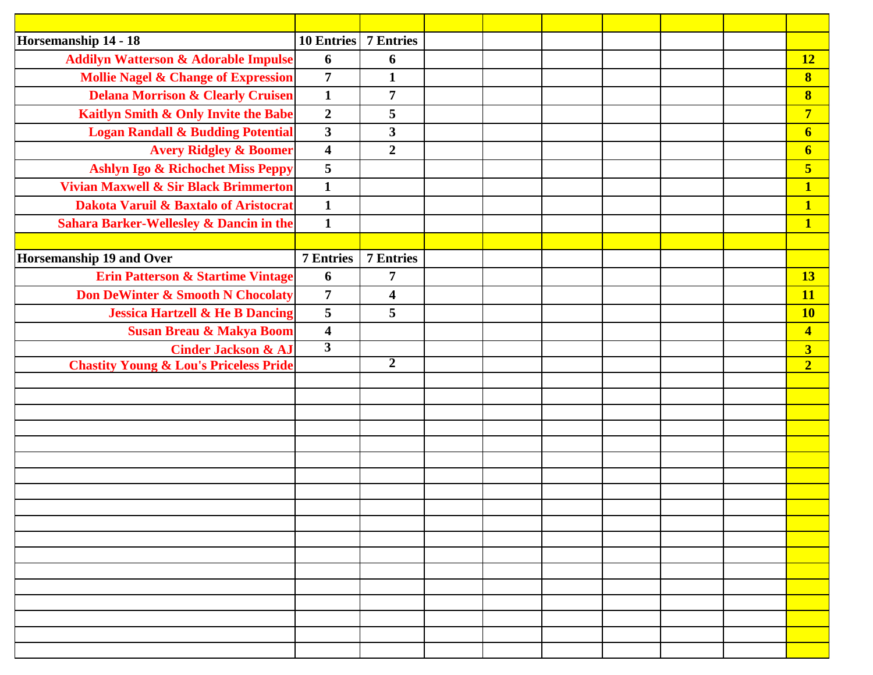| Horsemanship 14 - 18                               | <b>10 Entries</b> 7 Entries |                         |  |  |  |                         |
|----------------------------------------------------|-----------------------------|-------------------------|--|--|--|-------------------------|
| <b>Addilyn Watterson &amp; Adorable Impulse</b>    | 6                           | 6                       |  |  |  | <b>12</b>               |
| <b>Mollie Nagel &amp; Change of Expression</b>     | $\overline{7}$              | $\mathbf{1}$            |  |  |  | $\bf{8}$                |
| <b>Delana Morrison &amp; Clearly Cruisen</b>       | $\mathbf{1}$                | $\overline{7}$          |  |  |  | $\bf{8}$                |
| Kaitlyn Smith & Only Invite the Babe               | $\overline{2}$              | 5                       |  |  |  | $\overline{7}$          |
| <b>Logan Randall &amp; Budding Potential</b>       | $\mathbf{3}$                | 3                       |  |  |  | $\boldsymbol{6}$        |
| <b>Avery Ridgley &amp; Boomer</b>                  | $\overline{\mathbf{4}}$     | $\overline{2}$          |  |  |  | $\overline{\mathbf{6}}$ |
| Ashlyn Igo & Richochet Miss Peppy                  | $\overline{\mathbf{5}}$     |                         |  |  |  | $\overline{\mathbf{5}}$ |
| <b>Vivian Maxwell &amp; Sir Black Brimmerton</b>   | $\mathbf{1}$                |                         |  |  |  | $\mathbf{1}$            |
| Dakota Varuil & Baxtalo of Aristocrat              | $\mathbf{1}$                |                         |  |  |  | $\overline{\mathbf{1}}$ |
| <b>Sahara Barker-Wellesley &amp; Dancin in the</b> | $\mathbf{1}$                |                         |  |  |  | $\mathbf{1}$            |
|                                                    |                             |                         |  |  |  |                         |
| Horsemanship 19 and Over                           | <b>7 Entries</b>            | <b>7 Entries</b>        |  |  |  |                         |
| <b>Erin Patterson &amp; Startime Vintage</b>       | 6                           | 7                       |  |  |  | 13                      |
| Don DeWinter & Smooth N Chocolaty                  | $\overline{7}$              | $\overline{\mathbf{4}}$ |  |  |  | <b>11</b>               |
| <b>Jessica Hartzell &amp; He B Dancing</b>         | 5                           | 5                       |  |  |  | <b>10</b>               |
| <b>Susan Breau &amp; Makya Boom</b>                | $\boldsymbol{4}$            |                         |  |  |  | $\overline{\mathbf{4}}$ |
| <b>Cinder Jackson &amp; AJ</b>                     | $\overline{3}$              |                         |  |  |  | $\overline{\mathbf{3}}$ |
| <b>Chastity Young &amp; Lou's Priceless Pride</b>  |                             | $\overline{2}$          |  |  |  | $\overline{2}$          |
|                                                    |                             |                         |  |  |  |                         |
|                                                    |                             |                         |  |  |  |                         |
|                                                    |                             |                         |  |  |  |                         |
|                                                    |                             |                         |  |  |  |                         |
|                                                    |                             |                         |  |  |  |                         |
|                                                    |                             |                         |  |  |  |                         |
|                                                    |                             |                         |  |  |  |                         |
|                                                    |                             |                         |  |  |  |                         |
|                                                    |                             |                         |  |  |  |                         |
|                                                    |                             |                         |  |  |  |                         |
|                                                    |                             |                         |  |  |  |                         |
|                                                    |                             |                         |  |  |  |                         |
|                                                    |                             |                         |  |  |  |                         |
|                                                    |                             |                         |  |  |  |                         |
|                                                    |                             |                         |  |  |  |                         |
|                                                    |                             |                         |  |  |  |                         |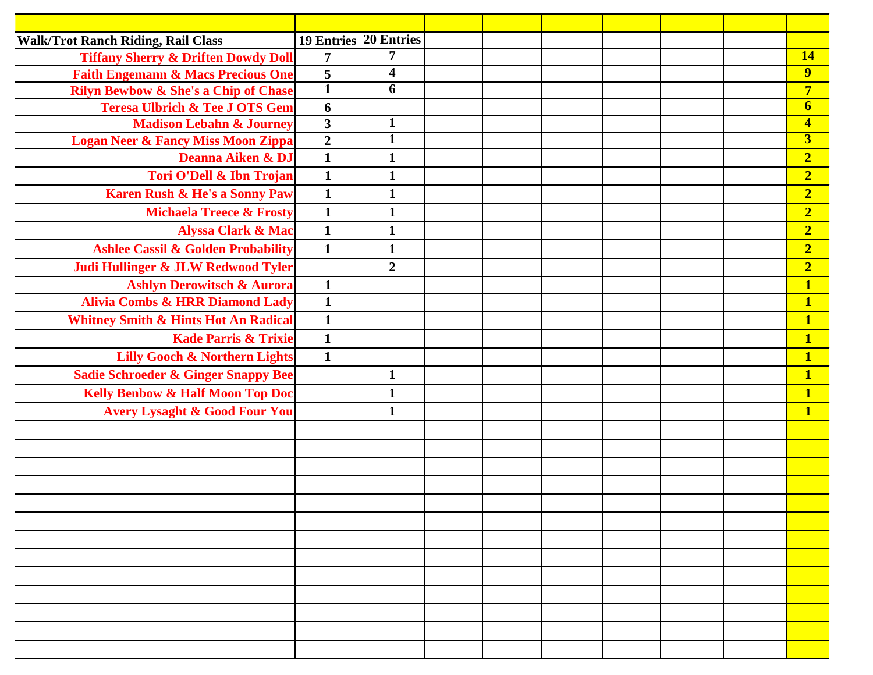| <b>Walk/Trot Ranch Riding, Rail Class</b>       | 19 Entries 20 Entries |                         |  |  |  |                         |
|-------------------------------------------------|-----------------------|-------------------------|--|--|--|-------------------------|
| <b>Tiffany Sherry &amp; Driften Dowdy Doll</b>  | $\overline{7}$        | $\overline{7}$          |  |  |  | 14                      |
| <b>Faith Engemann &amp; Macs Precious One</b>   | 5                     | $\overline{\mathbf{4}}$ |  |  |  | 9                       |
| <b>Rilyn Bewbow &amp; She's a Chip of Chase</b> | $\mathbf{1}$          | 6                       |  |  |  | $\overline{7}$          |
| <b>Teresa Ulbrich &amp; Tee J OTS Gem</b>       | 6                     |                         |  |  |  | $\boldsymbol{6}$        |
| <b>Madison Lebahn &amp; Journey</b>             | $\mathbf{3}$          | $\mathbf{1}$            |  |  |  | $\overline{\mathbf{4}}$ |
| Logan Neer & Fancy Miss Moon Zippa              | $\boldsymbol{2}$      | $\mathbf{1}$            |  |  |  | $\overline{\mathbf{3}}$ |
| Deanna Aiken & DJ                               | $\mathbf{1}$          | $\mathbf{1}$            |  |  |  | $\overline{2}$          |
| Tori O'Dell & Ibn Trojan                        | $\mathbf{1}$          | $\mathbf{1}$            |  |  |  | $\overline{2}$          |
| Karen Rush & He's a Sonny Paw                   | $\mathbf{1}$          | $\mathbf{1}$            |  |  |  | $\overline{2}$          |
| <b>Michaela Treece &amp; Frosty</b>             | $\mathbf{1}$          | $\mathbf{1}$            |  |  |  | $\overline{2}$          |
| <b>Alyssa Clark &amp; Mac</b>                   | $\mathbf{1}$          | $\mathbf{1}$            |  |  |  | $\overline{2}$          |
| <b>Ashlee Cassil &amp; Golden Probability</b>   | $\mathbf{1}$          | $\mathbf{1}$            |  |  |  | $\overline{2}$          |
| Judi Hullinger & JLW Redwood Tyler              |                       | $\overline{2}$          |  |  |  | $\overline{2}$          |
| <b>Ashlyn Derowitsch &amp; Aurora</b>           | $\mathbf{1}$          |                         |  |  |  | $\overline{\mathbf{1}}$ |
| <b>Alivia Combs &amp; HRR Diamond Lady</b>      | $\overline{1}$        |                         |  |  |  | $\overline{\mathbf{1}}$ |
| <b>Whitney Smith &amp; Hints Hot An Radical</b> | $\mathbf{1}$          |                         |  |  |  | $\overline{\mathbf{1}}$ |
| <b>Kade Parris &amp; Trixie</b>                 | $\mathbf{1}$          |                         |  |  |  | $\mathbf{1}$            |
| <b>Lilly Gooch &amp; Northern Lights</b>        | $\mathbf{1}$          |                         |  |  |  | $\overline{\mathbf{1}}$ |
| <b>Sadie Schroeder &amp; Ginger Snappy Bee</b>  |                       | $\mathbf{1}$            |  |  |  | $\mathbf{1}$            |
| <b>Kelly Benbow &amp; Half Moon Top Doc</b>     |                       | $\mathbf{1}$            |  |  |  | $\overline{\mathbf{1}}$ |
| <b>Avery Lysaght &amp; Good Four You</b>        |                       | $\mathbf{1}$            |  |  |  | $\mathbf{1}$            |
|                                                 |                       |                         |  |  |  |                         |
|                                                 |                       |                         |  |  |  |                         |
|                                                 |                       |                         |  |  |  |                         |
|                                                 |                       |                         |  |  |  |                         |
|                                                 |                       |                         |  |  |  |                         |
|                                                 |                       |                         |  |  |  |                         |
|                                                 |                       |                         |  |  |  |                         |
|                                                 |                       |                         |  |  |  |                         |
|                                                 |                       |                         |  |  |  |                         |
|                                                 |                       |                         |  |  |  |                         |
|                                                 |                       |                         |  |  |  |                         |
|                                                 |                       |                         |  |  |  |                         |
|                                                 |                       |                         |  |  |  |                         |
|                                                 |                       |                         |  |  |  |                         |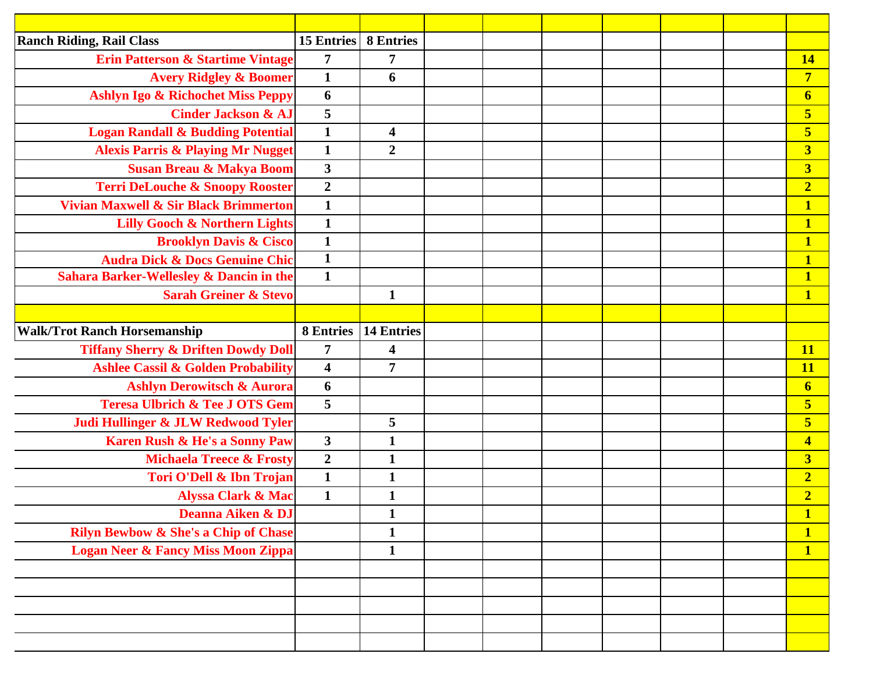| <b>Ranch Riding, Rail Class</b>                    | <b>15 Entries</b>       | <b>8 Entries</b>        |  |  |  |                         |
|----------------------------------------------------|-------------------------|-------------------------|--|--|--|-------------------------|
| <b>Erin Patterson &amp; Startime Vintage</b>       | $\overline{7}$          | $\overline{7}$          |  |  |  | <b>14</b>               |
| <b>Avery Ridgley &amp; Boomer</b>                  | $\mathbf{1}$            | 6                       |  |  |  | $\overline{7}$          |
| Ashlyn Igo & Richochet Miss Peppy                  | 6                       |                         |  |  |  | $\boldsymbol{6}$        |
| <b>Cinder Jackson &amp; AJ</b>                     | 5                       |                         |  |  |  | $\overline{\mathbf{5}}$ |
| <b>Logan Randall &amp; Budding Potential</b>       | $\mathbf{1}$            | $\overline{\mathbf{4}}$ |  |  |  | $\overline{\mathbf{5}}$ |
| <b>Alexis Parris &amp; Playing Mr Nugget</b>       | $\mathbf{1}$            | $\overline{2}$          |  |  |  | $\overline{\mathbf{3}}$ |
| <b>Susan Breau &amp; Makya Boom</b>                | $\mathbf{3}$            |                         |  |  |  | $\overline{\mathbf{3}}$ |
| <b>Terri DeLouche &amp; Snoopy Rooster</b>         | $\boldsymbol{2}$        |                         |  |  |  | $\overline{2}$          |
| Vivian Maxwell & Sir Black Brimmerton              | $\mathbf{1}$            |                         |  |  |  | $\mathbf{1}$            |
| <b>Lilly Gooch &amp; Northern Lights</b>           | $\mathbf{1}$            |                         |  |  |  | $\mathbf{1}$            |
| <b>Brooklyn Davis &amp; Cisco</b>                  | $\mathbf{1}$            |                         |  |  |  | $\mathbf{1}$            |
| <b>Audra Dick &amp; Docs Genuine Chic</b>          | $\mathbf{1}$            |                         |  |  |  | $\overline{\mathbf{1}}$ |
| <b>Sahara Barker-Wellesley &amp; Dancin in the</b> | $\mathbf{1}$            |                         |  |  |  | $\mathbf{1}$            |
| <b>Sarah Greiner &amp; Stevo</b>                   |                         | $\mathbf{1}$            |  |  |  | $\mathbf{1}$            |
|                                                    |                         |                         |  |  |  |                         |
| <b>Walk/Trot Ranch Horsemanship</b>                | <b>8 Entries</b>        | <b>14 Entries</b>       |  |  |  |                         |
| <b>Tiffany Sherry &amp; Driften Dowdy Doll</b>     | $\overline{7}$          | $\overline{\mathbf{4}}$ |  |  |  | <b>11</b>               |
| <b>Ashlee Cassil &amp; Golden Probability</b>      | $\overline{\mathbf{4}}$ | $\overline{7}$          |  |  |  | <b>11</b>               |
| <b>Ashlyn Derowitsch &amp; Aurora</b>              | 6                       |                         |  |  |  | $\boldsymbol{6}$        |
| <b>Teresa Ulbrich &amp; Tee J OTS Gem</b>          | 5                       |                         |  |  |  | 5                       |
| Judi Hullinger & JLW Redwood Tyler                 |                         | 5                       |  |  |  | $\overline{\mathbf{5}}$ |
| Karen Rush & He's a Sonny Paw                      | $\overline{\mathbf{3}}$ | $\mathbf{1}$            |  |  |  | $\overline{\mathbf{4}}$ |
| <b>Michaela Treece &amp; Frosty</b>                | $\overline{2}$          | $\mathbf{1}$            |  |  |  | $\overline{\mathbf{3}}$ |
| Tori O'Dell & Ibn Trojan                           | $\mathbf{1}$            | $\mathbf{1}$            |  |  |  | $\overline{2}$          |
| <b>Alyssa Clark &amp; Mac</b>                      | $\mathbf{1}$            | $\mathbf{1}$            |  |  |  | $\overline{2}$          |
| Deanna Aiken & DJ                                  |                         | $\mathbf{1}$            |  |  |  | $\mathbf{1}$            |
| <b>Rilyn Bewbow &amp; She's a Chip of Chase</b>    |                         | $\mathbf{1}$            |  |  |  | $\mathbf{1}$            |
| <b>Logan Neer &amp; Fancy Miss Moon Zippa</b>      |                         | $\mathbf{1}$            |  |  |  | $\mathbf{1}$            |
|                                                    |                         |                         |  |  |  |                         |
|                                                    |                         |                         |  |  |  |                         |
|                                                    |                         |                         |  |  |  |                         |
|                                                    |                         |                         |  |  |  |                         |
|                                                    |                         |                         |  |  |  |                         |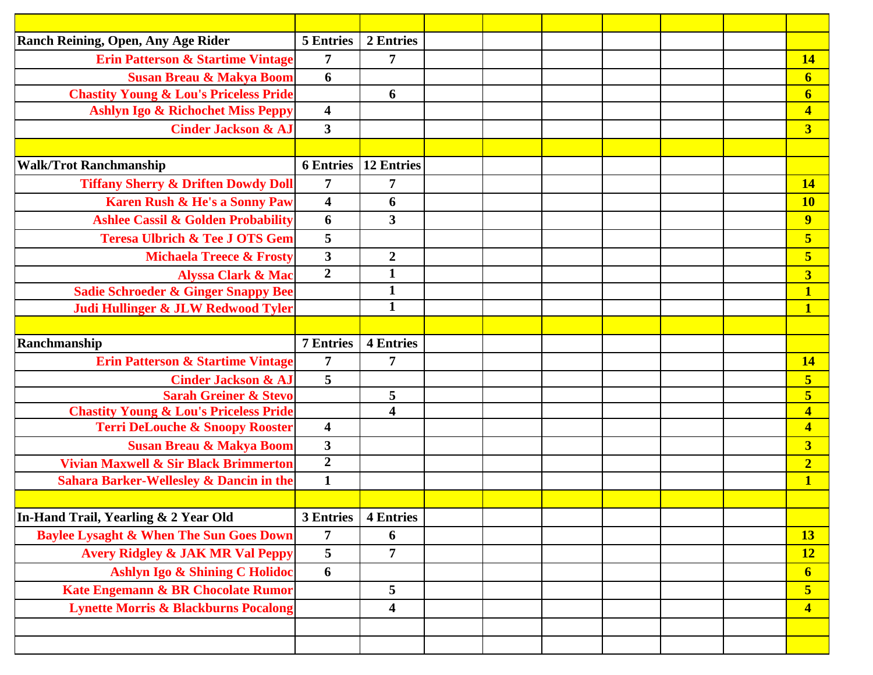| <b>Ranch Reining, Open, Any Age Rider</b>          | <b>5 Entries</b>        | 2 Entries               |  |  |  |                         |
|----------------------------------------------------|-------------------------|-------------------------|--|--|--|-------------------------|
| <b>Erin Patterson &amp; Startime Vintage</b>       | 7                       | $\overline{7}$          |  |  |  | 14                      |
| <b>Susan Breau &amp; Makya Boom</b>                | 6                       |                         |  |  |  | $\overline{6}$          |
| <b>Chastity Young &amp; Lou's Priceless Pride</b>  |                         | 6                       |  |  |  | $\boldsymbol{6}$        |
| <b>Ashlyn Igo &amp; Richochet Miss Peppy</b>       | $\overline{\mathbf{4}}$ |                         |  |  |  | $\overline{\mathbf{4}}$ |
| <b>Cinder Jackson &amp; AJ</b>                     | $\overline{\mathbf{3}}$ |                         |  |  |  | $\overline{\mathbf{3}}$ |
|                                                    |                         |                         |  |  |  |                         |
| <b>Walk/Trot Ranchmanship</b>                      | <b>6</b> Entries        | <b>12 Entries</b>       |  |  |  |                         |
| <b>Tiffany Sherry &amp; Driften Dowdy Doll</b>     | $\overline{7}$          | 7                       |  |  |  | 14                      |
| Karen Rush & He's a Sonny Paw                      | $\overline{\mathbf{4}}$ | 6                       |  |  |  | <b>10</b>               |
| <b>Ashlee Cassil &amp; Golden Probability</b>      | 6                       | $\mathbf{3}$            |  |  |  | $\overline{9}$          |
| <b>Teresa Ulbrich &amp; Tee J OTS Gem</b>          | 5                       |                         |  |  |  | 5                       |
| <b>Michaela Treece &amp; Frosty</b>                | $\mathbf{3}$            | $\boldsymbol{2}$        |  |  |  | 5                       |
| <b>Alyssa Clark &amp; Mac</b>                      | $\overline{2}$          | $\mathbf{1}$            |  |  |  | $\overline{\mathbf{3}}$ |
| <b>Sadie Schroeder &amp; Ginger Snappy Bee</b>     |                         | $\mathbf{1}$            |  |  |  | $\mathbf{1}$            |
| Judi Hullinger & JLW Redwood Tyler                 |                         | $\mathbf{1}$            |  |  |  | $\overline{\mathbf{1}}$ |
|                                                    |                         |                         |  |  |  |                         |
| Ranchmanship                                       | <b>7 Entries</b>        | <b>4 Entries</b>        |  |  |  |                         |
| <b>Erin Patterson &amp; Startime Vintage</b>       | $\overline{7}$          | $\overline{7}$          |  |  |  | 14                      |
| <b>Cinder Jackson &amp; AJ</b>                     | 5                       |                         |  |  |  | $\overline{\mathbf{5}}$ |
| <b>Sarah Greiner &amp; Stevo</b>                   |                         | 5                       |  |  |  | $\overline{\mathbf{5}}$ |
| <b>Chastity Young &amp; Lou's Priceless Pride</b>  |                         | $\overline{\mathbf{4}}$ |  |  |  | $\overline{\mathbf{4}}$ |
| <b>Terri DeLouche &amp; Snoopy Rooster</b>         | $\overline{\mathbf{4}}$ |                         |  |  |  | $\overline{\mathbf{4}}$ |
| <b>Susan Breau &amp; Makya Boom</b>                | $\mathbf{3}$            |                         |  |  |  | $\overline{\mathbf{3}}$ |
| Vivian Maxwell & Sir Black Brimmerton              | $\boldsymbol{2}$        |                         |  |  |  | $\overline{2}$          |
| <b>Sahara Barker-Wellesley &amp; Dancin in the</b> | $\mathbf{1}$            |                         |  |  |  | $\overline{\mathbf{1}}$ |
|                                                    |                         |                         |  |  |  |                         |
|                                                    |                         |                         |  |  |  |                         |
| In-Hand Trail, Yearling & 2 Year Old               | 3 Entries               | <b>4 Entries</b>        |  |  |  |                         |
| <b>Baylee Lysaght &amp; When The Sun Goes Down</b> | $\overline{7}$          | 6                       |  |  |  | <b>13</b>               |
| <b>Avery Ridgley &amp; JAK MR Val Peppy</b>        | 5                       | $\overline{7}$          |  |  |  | <b>12</b>               |
| Ashlyn Igo & Shining C Holidoc                     | 6                       |                         |  |  |  | $\overline{\mathbf{6}}$ |
| Kate Engemann & BR Chocolate Rumor                 |                         | 5                       |  |  |  | $\overline{\mathbf{5}}$ |
| <b>Lynette Morris &amp; Blackburns Pocalong</b>    |                         | $\overline{\mathbf{4}}$ |  |  |  | $\overline{\mathbf{4}}$ |
|                                                    |                         |                         |  |  |  |                         |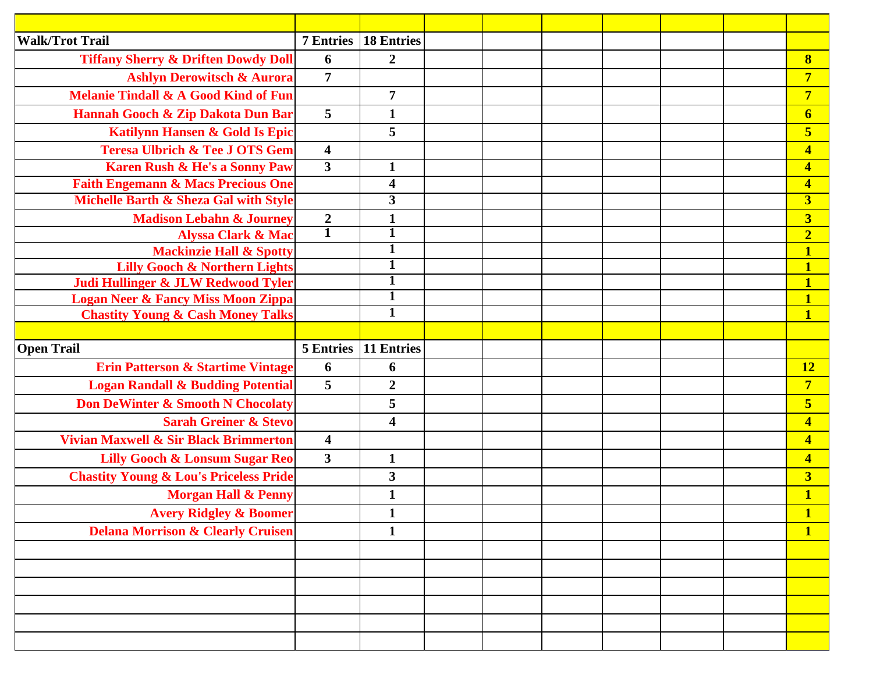| <b>Walk/Trot Trail</b>                                                              | <b>7 Entries</b>        | <b>18 Entries</b>              |  |  |  |                              |
|-------------------------------------------------------------------------------------|-------------------------|--------------------------------|--|--|--|------------------------------|
| <b>Tiffany Sherry &amp; Driften Dowdy Doll</b>                                      | 6                       | $\overline{2}$                 |  |  |  | $\bf{8}$                     |
| <b>Ashlyn Derowitsch &amp; Aurora</b>                                               | $\overline{7}$          |                                |  |  |  | $\overline{7}$               |
| <b>Melanie Tindall &amp; A Good Kind of Fun</b>                                     |                         | $\overline{7}$                 |  |  |  | $\overline{7}$               |
| Hannah Gooch & Zip Dakota Dun Bar                                                   | $5\overline{)}$         | $\mathbf 1$                    |  |  |  | $\boldsymbol{6}$             |
| Katilynn Hansen & Gold Is Epic                                                      |                         | 5                              |  |  |  | 5                            |
| <b>Teresa Ulbrich &amp; Tee J OTS Gem</b>                                           | $\overline{\mathbf{4}}$ |                                |  |  |  | $\overline{\mathbf{4}}$      |
| Karen Rush & He's a Sonny Paw                                                       | $\overline{\mathbf{3}}$ | $\mathbf{1}$                   |  |  |  | $\overline{\mathbf{4}}$      |
| <b>Faith Engemann &amp; Macs Precious One</b>                                       |                         | $\overline{\mathbf{4}}$        |  |  |  | $\overline{\mathbf{4}}$      |
| Michelle Barth & Sheza Gal with Style                                               |                         | $\overline{\mathbf{3}}$        |  |  |  | $\overline{\mathbf{3}}$      |
| <b>Madison Lebahn &amp; Journey</b>                                                 | $\boldsymbol{2}$        | $\mathbf{1}$                   |  |  |  | $\overline{\mathbf{3}}$      |
| <b>Alyssa Clark &amp; Mac</b>                                                       | $\overline{\mathbf{1}}$ | $\overline{\mathbf{1}}$        |  |  |  | $\overline{2}$               |
| <b>Mackinzie Hall &amp; Spotty</b>                                                  |                         | $\overline{1}$<br>$\mathbf{1}$ |  |  |  | 1                            |
| <b>Lilly Gooch &amp; Northern Lights</b>                                            |                         | $\overline{1}$                 |  |  |  | $\overline{\mathbf{1}}$<br>1 |
| Judi Hullinger & JLW Redwood Tyler<br><b>Logan Neer &amp; Fancy Miss Moon Zippa</b> |                         | $\overline{1}$                 |  |  |  |                              |
| <b>Chastity Young &amp; Cash Money Talks</b>                                        |                         | $\mathbf{1}$                   |  |  |  | 1                            |
|                                                                                     |                         |                                |  |  |  |                              |
| <b>Open Trail</b>                                                                   | <b>5 Entries</b>        | 11 Entries                     |  |  |  |                              |
|                                                                                     |                         |                                |  |  |  |                              |
|                                                                                     | 6                       | 6                              |  |  |  | <b>12</b>                    |
| Erin Patterson & Startime Vintage<br><b>Logan Randall &amp; Budding Potential</b>   | $5\overline{)}$         | $\boldsymbol{2}$               |  |  |  | $\overline{7}$               |
| <b>Don DeWinter &amp; Smooth N Chocolaty</b>                                        |                         | 5                              |  |  |  | 5                            |
| <b>Sarah Greiner &amp; Stevo</b>                                                    |                         | $\overline{\mathbf{4}}$        |  |  |  | $\overline{\mathbf{4}}$      |
| Vivian Maxwell & Sir Black Brimmerton                                               | $\overline{\mathbf{4}}$ |                                |  |  |  | $\overline{\mathbf{4}}$      |
| <b>Lilly Gooch &amp; Lonsum Sugar Reo</b>                                           | $\mathbf{3}$            | $\mathbf{1}$                   |  |  |  | $\overline{\mathbf{4}}$      |
| <b>Chastity Young &amp; Lou's Priceless Pride</b>                                   |                         | $\mathbf{3}$                   |  |  |  | $\overline{\mathbf{3}}$      |
| <b>Morgan Hall &amp; Penny</b>                                                      |                         | $\mathbf{1}$                   |  |  |  | 1                            |
| <b>Avery Ridgley &amp; Boomer</b>                                                   |                         | $\mathbf{1}$                   |  |  |  | 1                            |
| <b>Delana Morrison &amp; Clearly Cruisen</b>                                        |                         | $\mathbf 1$                    |  |  |  | $\mathbf{1}$                 |
|                                                                                     |                         |                                |  |  |  |                              |
|                                                                                     |                         |                                |  |  |  |                              |
|                                                                                     |                         |                                |  |  |  |                              |
|                                                                                     |                         |                                |  |  |  |                              |
|                                                                                     |                         |                                |  |  |  |                              |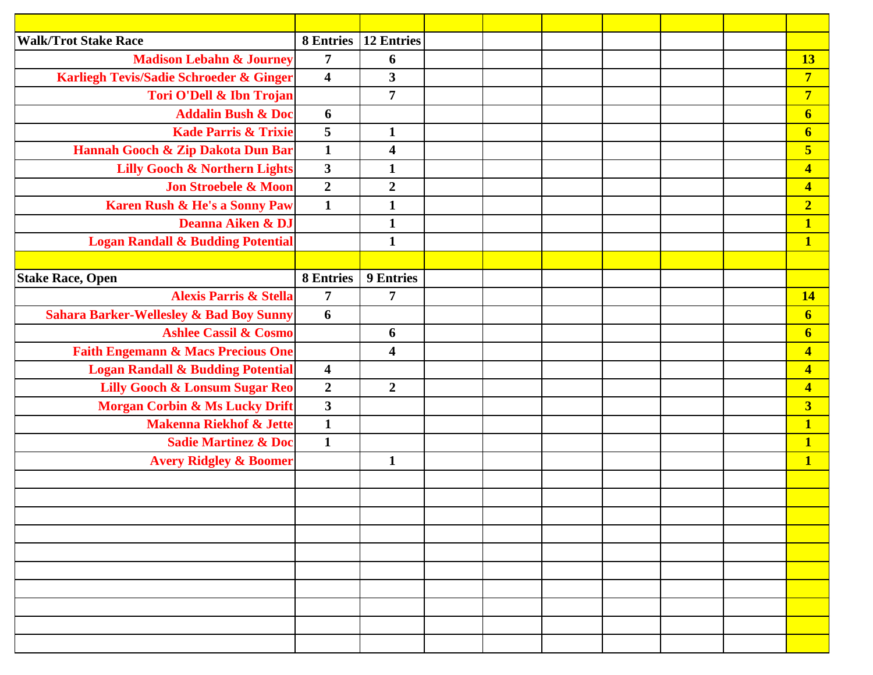| <b>Walk/Trot Stake Race</b>                        | 8 Entries               | <b>12 Entries</b>       |  |  |  |                         |
|----------------------------------------------------|-------------------------|-------------------------|--|--|--|-------------------------|
| <b>Madison Lebahn &amp; Journey</b>                | 7                       | 6                       |  |  |  | 13                      |
| Karliegh Tevis/Sadie Schroeder & Ginger            | $\overline{\mathbf{4}}$ | $\mathbf{3}$            |  |  |  | $\overline{7}$          |
| Tori O'Dell & Ibn Trojan                           |                         | $\overline{7}$          |  |  |  | $\overline{7}$          |
| <b>Addalin Bush &amp; Doc</b>                      | 6                       |                         |  |  |  | $\boldsymbol{6}$        |
| <b>Kade Parris &amp; Trixie</b>                    | 5                       | $\mathbf{1}$            |  |  |  | $\boldsymbol{6}$        |
| Hannah Gooch & Zip Dakota Dun Bar                  | $\mathbf{1}$            | $\overline{\mathbf{4}}$ |  |  |  | $\overline{\mathbf{5}}$ |
| <b>Lilly Gooch &amp; Northern Lights</b>           | $\mathbf{3}$            | $\mathbf{1}$            |  |  |  | $\overline{\mathbf{4}}$ |
| <b>Jon Stroebele &amp; Moon</b>                    | $\boldsymbol{2}$        | $\boldsymbol{2}$        |  |  |  | $\overline{\mathbf{4}}$ |
| Karen Rush & He's a Sonny Paw                      | $\mathbf{1}$            | $\mathbf{1}$            |  |  |  | $\overline{2}$          |
| Deanna Aiken & DJ                                  |                         | $\mathbf{1}$            |  |  |  | $\mathbf{1}$            |
| <b>Logan Randall &amp; Budding Potential</b>       |                         | $\mathbf{1}$            |  |  |  | $\overline{\mathbf{1}}$ |
|                                                    |                         |                         |  |  |  |                         |
| <b>Stake Race, Open</b>                            | <b>8 Entries</b>        | 9 Entries               |  |  |  |                         |
| <b>Alexis Parris &amp; Stella</b>                  | $\overline{7}$          | $\overline{7}$          |  |  |  | 14                      |
| <b>Sahara Barker-Wellesley &amp; Bad Boy Sunny</b> | 6                       |                         |  |  |  | $\boldsymbol{6}$        |
| <b>Ashlee Cassil &amp; Cosmo</b>                   |                         | 6                       |  |  |  | $\boldsymbol{6}$        |
| <b>Faith Engemann &amp; Macs Precious One</b>      |                         | $\overline{\mathbf{4}}$ |  |  |  | $\overline{\mathbf{4}}$ |
| <b>Logan Randall &amp; Budding Potential</b>       | $\overline{\mathbf{4}}$ |                         |  |  |  | $\overline{\mathbf{4}}$ |
| <b>Lilly Gooch &amp; Lonsum Sugar Reo</b>          | $\overline{2}$          | $\overline{2}$          |  |  |  | $\overline{\mathbf{4}}$ |
| <b>Morgan Corbin &amp; Ms Lucky Drift</b>          | $\overline{\mathbf{3}}$ |                         |  |  |  | $\overline{\mathbf{3}}$ |
| <b>Makenna Riekhof &amp; Jette</b>                 | $\mathbf{1}$            |                         |  |  |  | $\overline{\mathbf{1}}$ |
| <b>Sadie Martinez &amp; Doc</b>                    | $\mathbf{1}$            |                         |  |  |  | $\mathbf{1}$            |
| <b>Avery Ridgley &amp; Boomer</b>                  |                         | $\mathbf{1}$            |  |  |  | $\overline{\mathbf{1}}$ |
|                                                    |                         |                         |  |  |  |                         |
|                                                    |                         |                         |  |  |  |                         |
|                                                    |                         |                         |  |  |  |                         |
|                                                    |                         |                         |  |  |  |                         |
|                                                    |                         |                         |  |  |  |                         |
|                                                    |                         |                         |  |  |  |                         |
|                                                    |                         |                         |  |  |  |                         |
|                                                    |                         |                         |  |  |  |                         |
|                                                    |                         |                         |  |  |  |                         |
|                                                    |                         |                         |  |  |  |                         |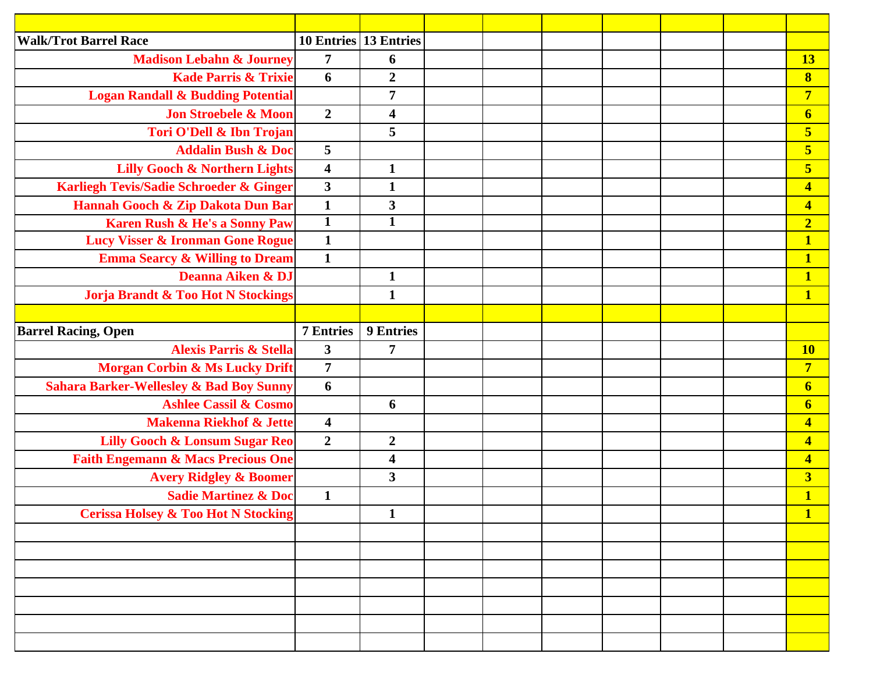| <b>Walk/Trot Barrel Race</b>                       | 10 Entries 13 Entries   |                         |  |  |  |                         |
|----------------------------------------------------|-------------------------|-------------------------|--|--|--|-------------------------|
| <b>Madison Lebahn &amp; Journey</b>                | $\overline{7}$          | 6                       |  |  |  | 13                      |
| <b>Kade Parris &amp; Trixie</b>                    | 6                       | $\overline{2}$          |  |  |  | $\bf{8}$                |
| <b>Logan Randall &amp; Budding Potential</b>       |                         | $\overline{7}$          |  |  |  | $\overline{7}$          |
| <b>Jon Stroebele &amp; Moon</b>                    | $\overline{2}$          | $\overline{\mathbf{4}}$ |  |  |  | $\boldsymbol{6}$        |
| Tori O'Dell & Ibn Trojan                           |                         | 5                       |  |  |  | $\overline{\mathbf{5}}$ |
| <b>Addalin Bush &amp; Doc</b>                      | 5                       |                         |  |  |  | $\overline{\mathbf{5}}$ |
| <b>Lilly Gooch &amp; Northern Lights</b>           | $\overline{\mathbf{4}}$ | $\mathbf{1}$            |  |  |  | $\overline{\mathbf{5}}$ |
| Karliegh Tevis/Sadie Schroeder & Ginger            | $\mathbf{3}$            | $\mathbf{1}$            |  |  |  | $\overline{\mathbf{4}}$ |
| Hannah Gooch & Zip Dakota Dun Bar                  | $\mathbf{1}$            | $\mathbf{3}$            |  |  |  | $\overline{\mathbf{4}}$ |
| <b>Karen Rush &amp; He's a Sonny Paw</b>           | $\overline{\mathbf{1}}$ | $\mathbf{1}$            |  |  |  | $\overline{2}$          |
| <b>Lucy Visser &amp; Ironman Gone Rogue</b>        | $\mathbf{1}$            |                         |  |  |  | $\mathbf{1}$            |
| <b>Emma Searcy &amp; Willing to Dream</b>          | $\mathbf{1}$            |                         |  |  |  | $\overline{\mathbf{1}}$ |
| Deanna Aiken & DJ                                  |                         | $\mathbf{1}$            |  |  |  | $\mathbf{1}$            |
| <b>Jorja Brandt &amp; Too Hot N Stockings</b>      |                         | $\mathbf{1}$            |  |  |  | $\mathbf{1}$            |
|                                                    |                         |                         |  |  |  |                         |
| <b>Barrel Racing, Open</b>                         | <b>7 Entries</b>        | 9 Entries               |  |  |  |                         |
| <b>Alexis Parris &amp; Stella</b>                  | $\mathbf{3}$            | $\overline{7}$          |  |  |  | <b>10</b>               |
| <b>Morgan Corbin &amp; Ms Lucky Drift</b>          | $\overline{7}$          |                         |  |  |  | $\overline{7}$          |
| <b>Sahara Barker-Wellesley &amp; Bad Boy Sunny</b> | 6                       |                         |  |  |  | $\boldsymbol{6}$        |
| <b>Ashlee Cassil &amp; Cosmo</b>                   |                         | 6                       |  |  |  | $\boldsymbol{6}$        |
| <b>Makenna Riekhof &amp; Jette</b>                 | $\overline{\mathbf{4}}$ |                         |  |  |  | $\overline{\mathbf{4}}$ |
| <b>Lilly Gooch &amp; Lonsum Sugar Reo</b>          | $\overline{2}$          | $\boldsymbol{2}$        |  |  |  | $\overline{\mathbf{4}}$ |
| <b>Faith Engemann &amp; Macs Precious One</b>      |                         | $\overline{\mathbf{4}}$ |  |  |  | $\overline{\mathbf{4}}$ |
| <b>Avery Ridgley &amp; Boomer</b>                  |                         | $\mathbf{3}$            |  |  |  | $\overline{\mathbf{3}}$ |
| <b>Sadie Martinez &amp; Doc</b>                    | $\mathbf{1}$            |                         |  |  |  | 1                       |
| <b>Cerissa Holsey &amp; Too Hot N Stocking</b>     |                         | $\mathbf{1}$            |  |  |  | $\mathbf{1}$            |
|                                                    |                         |                         |  |  |  |                         |
|                                                    |                         |                         |  |  |  |                         |
|                                                    |                         |                         |  |  |  |                         |
|                                                    |                         |                         |  |  |  |                         |
|                                                    |                         |                         |  |  |  |                         |
|                                                    |                         |                         |  |  |  |                         |
|                                                    |                         |                         |  |  |  |                         |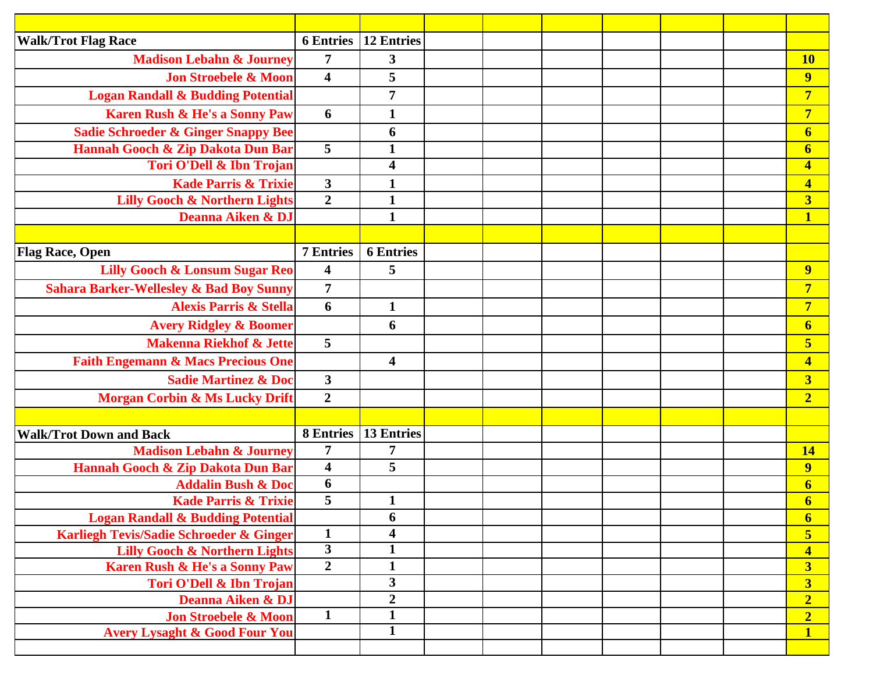| <b>Walk/Trot Flag Race</b>                         | <b>6 Entries</b>        | <b>12 Entries</b>       |  |  |  |                                           |
|----------------------------------------------------|-------------------------|-------------------------|--|--|--|-------------------------------------------|
| <b>Madison Lebahn &amp; Journey</b>                | $\overline{7}$          | 3                       |  |  |  | <b>10</b>                                 |
| <b>Jon Stroebele &amp; Moon</b>                    | $\overline{\mathbf{4}}$ | 5                       |  |  |  | $\overline{9}$                            |
| <b>Logan Randall &amp; Budding Potential</b>       |                         | $\overline{7}$          |  |  |  | $\overline{7}$                            |
| Karen Rush & He's a Sonny Paw                      | 6                       | $\mathbf 1$             |  |  |  | $\overline{7}$                            |
| <b>Sadie Schroeder &amp; Ginger Snappy Bee</b>     |                         | 6                       |  |  |  | $\boldsymbol{6}$                          |
| Hannah Gooch & Zip Dakota Dun Bar                  | $\overline{5}$          | $\mathbf{1}$            |  |  |  | $\boldsymbol{6}$                          |
| Tori O'Dell & Ibn Trojan                           |                         | 4                       |  |  |  | $\overline{\mathbf{4}}$                   |
| <b>Kade Parris &amp; Trixie</b>                    | $\overline{\mathbf{3}}$ | $\mathbf{1}$            |  |  |  | $\overline{\mathbf{4}}$                   |
| <b>Lilly Gooch &amp; Northern Lights</b>           | $\overline{2}$          | $\mathbf{1}$            |  |  |  | $\overline{\mathbf{3}}$                   |
| Deanna Aiken & DJ                                  |                         | $\mathbf{1}$            |  |  |  | $\overline{\mathbf{1}}$                   |
|                                                    |                         |                         |  |  |  |                                           |
| <b>Flag Race, Open</b>                             | <b>7 Entries</b>        | <b>6 Entries</b>        |  |  |  |                                           |
| <b>Lilly Gooch &amp; Lonsum Sugar Reo</b>          | $\overline{\mathbf{4}}$ | 5                       |  |  |  | $\overline{9}$                            |
| <b>Sahara Barker-Wellesley &amp; Bad Boy Sunny</b> | $\overline{7}$          |                         |  |  |  | $\overline{7}$                            |
| <b>Alexis Parris &amp; Stella</b>                  | 6                       | $\mathbf{1}$            |  |  |  | $\overline{7}$                            |
| <b>Avery Ridgley &amp; Boomer</b>                  |                         | 6                       |  |  |  | $\boldsymbol{6}$                          |
| <b>Makenna Riekhof &amp; Jette</b>                 | 5                       |                         |  |  |  | 5                                         |
| <b>Faith Engemann &amp; Macs Precious One</b>      |                         | $\overline{\mathbf{4}}$ |  |  |  | $\overline{\mathbf{4}}$                   |
| <b>Sadie Martinez &amp; Doc</b>                    | 3                       |                         |  |  |  | $\overline{\mathbf{3}}$                   |
| <b>Morgan Corbin &amp; Ms Lucky Drift</b>          | $\overline{2}$          |                         |  |  |  | $\overline{2}$                            |
|                                                    |                         |                         |  |  |  |                                           |
| <b>Walk/Trot Down and Back</b>                     | <b>8 Entries</b>        | <b>13 Entries</b>       |  |  |  |                                           |
| <b>Madison Lebahn &amp; Journey</b>                | $\overline{7}$          | 7                       |  |  |  | 14                                        |
| Hannah Gooch & Zip Dakota Dun Bar                  | $\overline{\mathbf{4}}$ | 5                       |  |  |  | $\overline{9}$                            |
| <b>Addalin Bush &amp; Doc</b>                      | 6                       |                         |  |  |  | 6                                         |
| <b>Kade Parris &amp; Trixie</b>                    | 5                       | $\mathbf{1}$            |  |  |  | $\boldsymbol{6}$                          |
| <b>Logan Randall &amp; Budding Potential</b>       |                         | 6                       |  |  |  | $\boldsymbol{6}$                          |
| Karliegh Tevis/Sadie Schroeder & Ginger            | $\mathbf{1}$            | $\overline{\mathbf{4}}$ |  |  |  | $\overline{\mathbf{5}}$                   |
| <b>Lilly Gooch &amp; Northern Lights</b>           | $\mathbf{3}$            | $\mathbf{1}$            |  |  |  | $\overline{\mathbf{4}}$                   |
| <b>Karen Rush &amp; He's a Sonny Paw</b>           | $\overline{2}$          | $\mathbf{1}$<br>3       |  |  |  | $\overline{\mathbf{3}}$                   |
| Tori O'Dell & Ibn Trojan<br>Deanna Aiken & DJ      |                         | $\boldsymbol{2}$        |  |  |  | $\overline{\mathbf{3}}$<br>$\overline{2}$ |
| <b>Jon Stroebele &amp; Moon</b>                    | $\mathbf{1}$            | $\mathbf{1}$            |  |  |  | $\overline{2}$                            |
| <b>Avery Lysaght &amp; Good Four You</b>           |                         | $\mathbf{1}$            |  |  |  | $\overline{\mathbf{1}}$                   |
|                                                    |                         |                         |  |  |  |                                           |